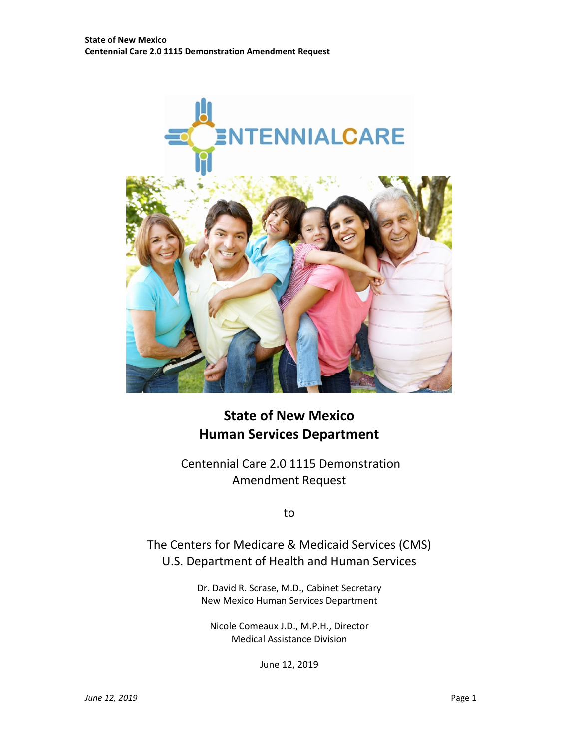

# **State of New Mexico Human Services Department**

Centennial Care 2.0 1115 Demonstration Amendment Request

to

The Centers for Medicare & Medicaid Services (CMS) U.S. Department of Health and Human Services

> Dr. David R. Scrase, M.D., Cabinet Secretary New Mexico Human Services Department

Nicole Comeaux J.D., M.P.H., Director Medical Assistance Division

June 12, 2019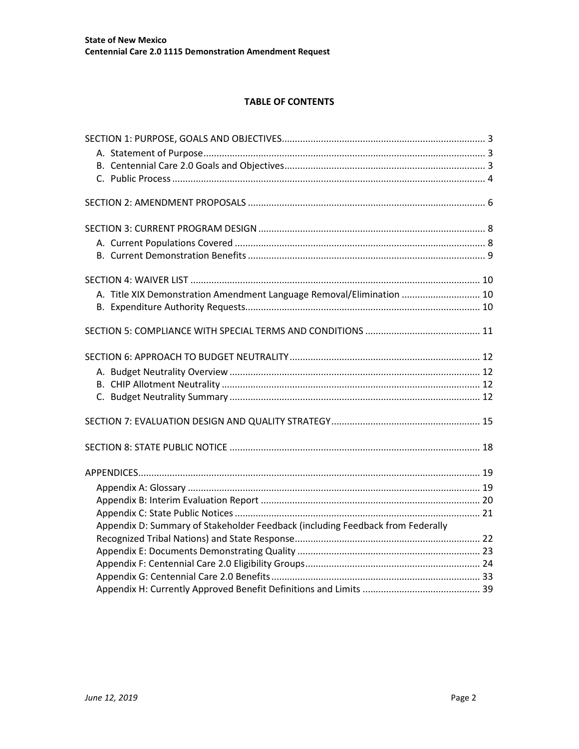## **TABLE OF CONTENTS**

| A. Title XIX Demonstration Amendment Language Removal/Elimination  10          |  |
|--------------------------------------------------------------------------------|--|
|                                                                                |  |
|                                                                                |  |
|                                                                                |  |
|                                                                                |  |
|                                                                                |  |
|                                                                                |  |
|                                                                                |  |
|                                                                                |  |
|                                                                                |  |
|                                                                                |  |
|                                                                                |  |
|                                                                                |  |
|                                                                                |  |
|                                                                                |  |
|                                                                                |  |
|                                                                                |  |
| Appendix D: Summary of Stakeholder Feedback (including Feedback from Federally |  |
|                                                                                |  |
|                                                                                |  |
|                                                                                |  |
|                                                                                |  |
|                                                                                |  |
|                                                                                |  |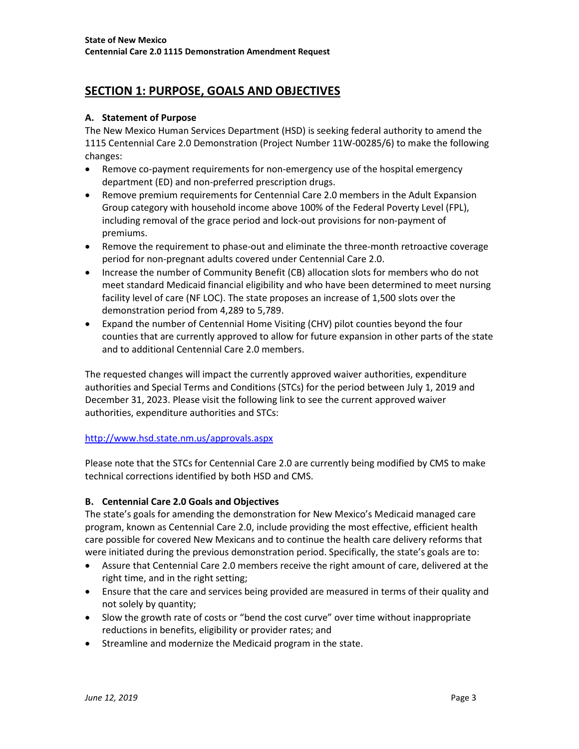# <span id="page-2-0"></span>**SECTION 1: PURPOSE, GOALS AND OBJECTIVES**

## <span id="page-2-1"></span>**A. Statement of Purpose**

The New Mexico Human Services Department (HSD) is seeking federal authority to amend the 1115 Centennial Care 2.0 Demonstration (Project Number 11W-00285/6) to make the following changes:

- Remove co-payment requirements for non-emergency use of the hospital emergency department (ED) and non-preferred prescription drugs.
- Remove premium requirements for Centennial Care 2.0 members in the Adult Expansion Group category with household income above 100% of the Federal Poverty Level (FPL), including removal of the grace period and lock-out provisions for non-payment of premiums.
- Remove the requirement to phase-out and eliminate the three-month retroactive coverage period for non-pregnant adults covered under Centennial Care 2.0.
- Increase the number of Community Benefit (CB) allocation slots for members who do not meet standard Medicaid financial eligibility and who have been determined to meet nursing facility level of care (NF LOC). The state proposes an increase of 1,500 slots over the demonstration period from 4,289 to 5,789.
- Expand the number of Centennial Home Visiting (CHV) pilot counties beyond the four counties that are currently approved to allow for future expansion in other parts of the state and to additional Centennial Care 2.0 members.

The requested changes will impact the currently approved waiver authorities, expenditure authorities and Special Terms and Conditions (STCs) for the period between July 1, 2019 and December 31, 2023. Please visit the following link to see the current approved waiver authorities, expenditure authorities and STCs:

### <http://www.hsd.state.nm.us/approvals.aspx>

Please note that the STCs for Centennial Care 2.0 are currently being modified by CMS to make technical corrections identified by both HSD and CMS.

# <span id="page-2-2"></span>**B. Centennial Care 2.0 Goals and Objectives**

The state's goals for amending the demonstration for New Mexico's Medicaid managed care program, known as Centennial Care 2.0, include providing the most effective, efficient health care possible for covered New Mexicans and to continue the health care delivery reforms that were initiated during the previous demonstration period. Specifically, the state's goals are to:

- Assure that Centennial Care 2.0 members receive the right amount of care, delivered at the right time, and in the right setting;
- Ensure that the care and services being provided are measured in terms of their quality and not solely by quantity;
- Slow the growth rate of costs or "bend the cost curve" over time without inappropriate reductions in benefits, eligibility or provider rates; and
- Streamline and modernize the Medicaid program in the state.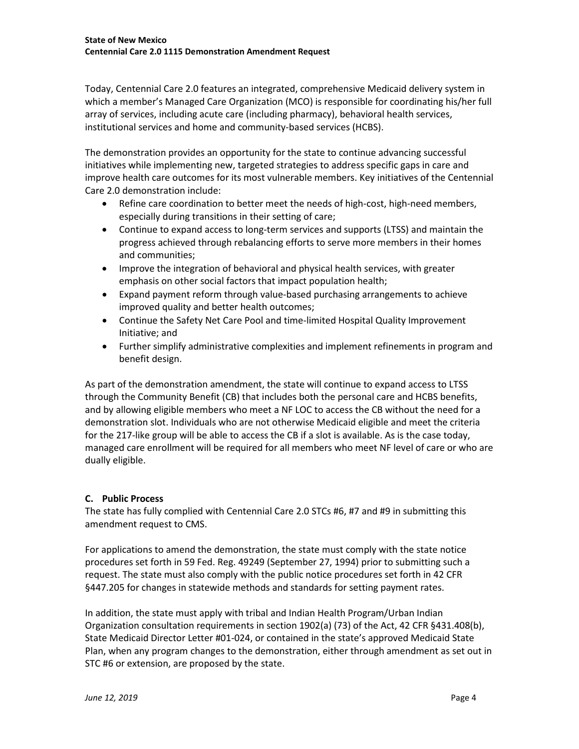Today, Centennial Care 2.0 features an integrated, comprehensive Medicaid delivery system in which a member's Managed Care Organization (MCO) is responsible for coordinating his/her full array of services, including acute care (including pharmacy), behavioral health services, institutional services and home and community-based services (HCBS).

The demonstration provides an opportunity for the state to continue advancing successful initiatives while implementing new, targeted strategies to address specific gaps in care and improve health care outcomes for its most vulnerable members. Key initiatives of the Centennial Care 2.0 demonstration include:

- Refine care coordination to better meet the needs of high-cost, high-need members, especially during transitions in their setting of care;
- Continue to expand access to long-term services and supports (LTSS) and maintain the progress achieved through rebalancing efforts to serve more members in their homes and communities;
- Improve the integration of behavioral and physical health services, with greater emphasis on other social factors that impact population health;
- Expand payment reform through value-based purchasing arrangements to achieve improved quality and better health outcomes;
- Continue the Safety Net Care Pool and time-limited Hospital Quality Improvement Initiative; and
- Further simplify administrative complexities and implement refinements in program and benefit design.

As part of the demonstration amendment, the state will continue to expand access to LTSS through the Community Benefit (CB) that includes both the personal care and HCBS benefits, and by allowing eligible members who meet a NF LOC to access the CB without the need for a demonstration slot. Individuals who are not otherwise Medicaid eligible and meet the criteria for the 217-like group will be able to access the CB if a slot is available. As is the case today, managed care enrollment will be required for all members who meet NF level of care or who are dually eligible.

# <span id="page-3-0"></span>**C. Public Process**

The state has fully complied with Centennial Care 2.0 STCs #6, #7 and #9 in submitting this amendment request to CMS.

For applications to amend the demonstration, the state must comply with the state notice procedures set forth in 59 Fed. Reg. 49249 (September 27, 1994) prior to submitting such a request. The state must also comply with the public notice procedures set forth in 42 CFR §447.205 for changes in statewide methods and standards for setting payment rates.

In addition, the state must apply with tribal and Indian Health Program/Urban Indian Organization consultation requirements in section 1902(a) (73) of the Act, 42 CFR §431.408(b), State Medicaid Director Letter #01-024, or contained in the state's approved Medicaid State Plan, when any program changes to the demonstration, either through amendment as set out in STC #6 or extension, are proposed by the state.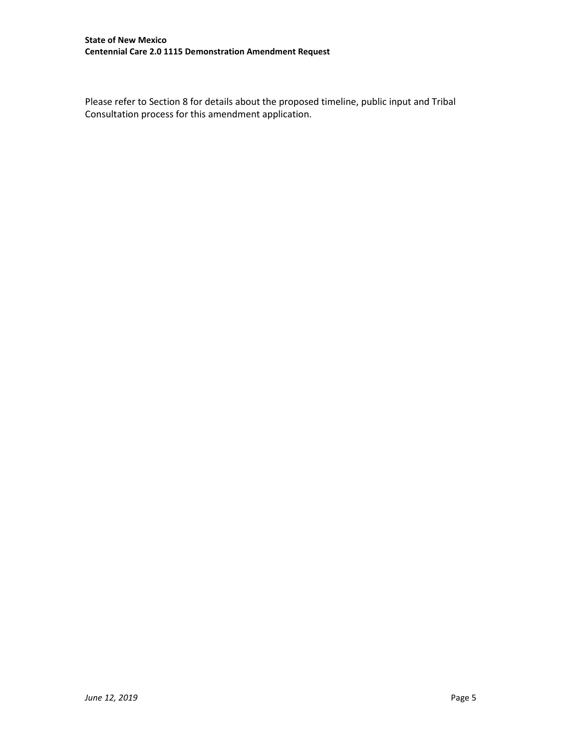Please refer to Section 8 for details about the proposed timeline, public input and Tribal Consultation process for this amendment application.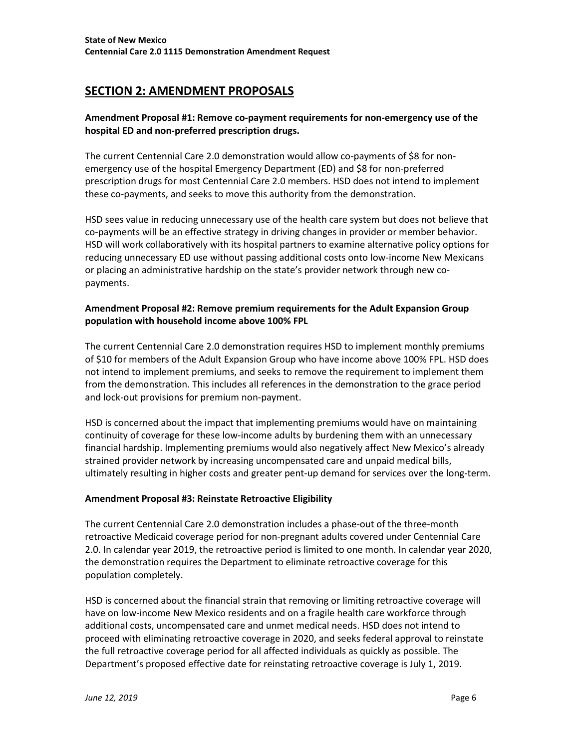# <span id="page-5-0"></span>**SECTION 2: AMENDMENT PROPOSALS**

## **Amendment Proposal #1: Remove co-payment requirements for non-emergency use of the hospital ED and non-preferred prescription drugs.**

The current Centennial Care 2.0 demonstration would allow co-payments of \$8 for nonemergency use of the hospital Emergency Department (ED) and \$8 for non-preferred prescription drugs for most Centennial Care 2.0 members. HSD does not intend to implement these co-payments, and seeks to move this authority from the demonstration.

HSD sees value in reducing unnecessary use of the health care system but does not believe that co-payments will be an effective strategy in driving changes in provider or member behavior. HSD will work collaboratively with its hospital partners to examine alternative policy options for reducing unnecessary ED use without passing additional costs onto low-income New Mexicans or placing an administrative hardship on the state's provider network through new copayments.

## **Amendment Proposal #2: Remove premium requirements for the Adult Expansion Group population with household income above 100% FPL**

The current Centennial Care 2.0 demonstration requires HSD to implement monthly premiums of \$10 for members of the Adult Expansion Group who have income above 100% FPL. HSD does not intend to implement premiums, and seeks to remove the requirement to implement them from the demonstration. This includes all references in the demonstration to the grace period and lock-out provisions for premium non-payment.

HSD is concerned about the impact that implementing premiums would have on maintaining continuity of coverage for these low-income adults by burdening them with an unnecessary financial hardship. Implementing premiums would also negatively affect New Mexico's already strained provider network by increasing uncompensated care and unpaid medical bills, ultimately resulting in higher costs and greater pent-up demand for services over the long-term.

### **Amendment Proposal #3: Reinstate Retroactive Eligibility**

The current Centennial Care 2.0 demonstration includes a phase-out of the three-month retroactive Medicaid coverage period for non-pregnant adults covered under Centennial Care 2.0. In calendar year 2019, the retroactive period is limited to one month. In calendar year 2020, the demonstration requires the Department to eliminate retroactive coverage for this population completely.

HSD is concerned about the financial strain that removing or limiting retroactive coverage will have on low-income New Mexico residents and on a fragile health care workforce through additional costs, uncompensated care and unmet medical needs. HSD does not intend to proceed with eliminating retroactive coverage in 2020, and seeks federal approval to reinstate the full retroactive coverage period for all affected individuals as quickly as possible. The Department's proposed effective date for reinstating retroactive coverage is July 1, 2019.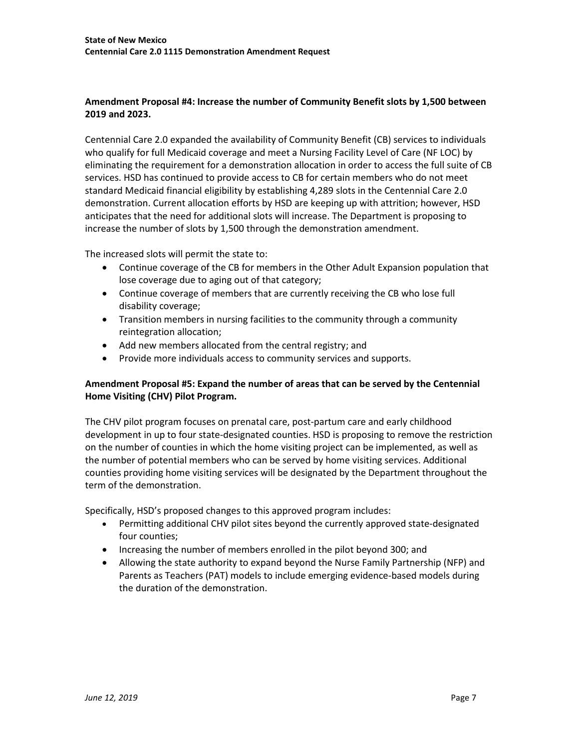## **Amendment Proposal #4: Increase the number of Community Benefit slots by 1,500 between 2019 and 2023.**

Centennial Care 2.0 expanded the availability of Community Benefit (CB) services to individuals who qualify for full Medicaid coverage and meet a Nursing Facility Level of Care (NF LOC) by eliminating the requirement for a demonstration allocation in order to access the full suite of CB services. HSD has continued to provide access to CB for certain members who do not meet standard Medicaid financial eligibility by establishing 4,289 slots in the Centennial Care 2.0 demonstration. Current allocation efforts by HSD are keeping up with attrition; however, HSD anticipates that the need for additional slots will increase. The Department is proposing to increase the number of slots by 1,500 through the demonstration amendment.

The increased slots will permit the state to:

- Continue coverage of the CB for members in the Other Adult Expansion population that lose coverage due to aging out of that category;
- Continue coverage of members that are currently receiving the CB who lose full disability coverage;
- Transition members in nursing facilities to the community through a community reintegration allocation;
- Add new members allocated from the central registry; and
- Provide more individuals access to community services and supports.

## **Amendment Proposal #5: Expand the number of areas that can be served by the Centennial Home Visiting (CHV) Pilot Program.**

The CHV pilot program focuses on prenatal care, post-partum care and early childhood development in up to four state-designated counties. HSD is proposing to remove the restriction on the number of counties in which the home visiting project can be implemented, as well as the number of potential members who can be served by home visiting services. Additional counties providing home visiting services will be designated by the Department throughout the term of the demonstration.

Specifically, HSD's proposed changes to this approved program includes:

- Permitting additional CHV pilot sites beyond the currently approved state-designated four counties;
- Increasing the number of members enrolled in the pilot beyond 300; and
- Allowing the state authority to expand beyond the Nurse Family Partnership (NFP) and Parents as Teachers (PAT) models to include emerging evidence-based models during the duration of the demonstration.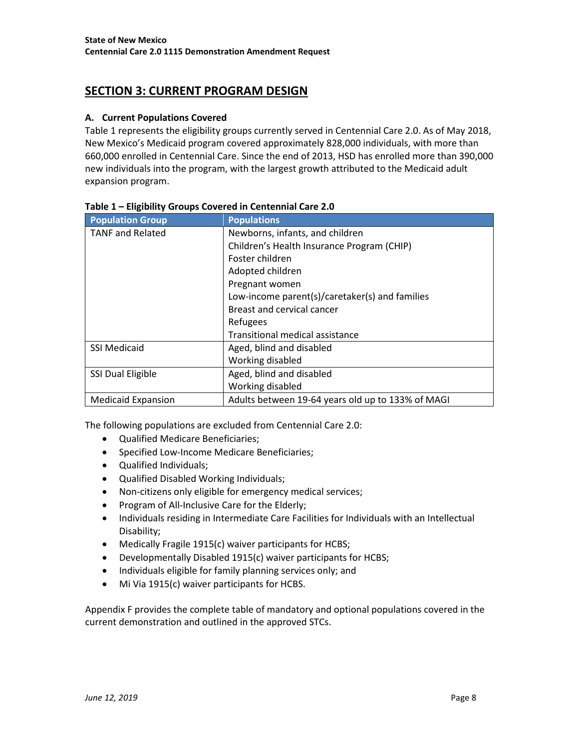# <span id="page-7-1"></span><span id="page-7-0"></span>**SECTION 3: CURRENT PROGRAM DESIGN**

### **A. Current Populations Covered**

Table 1 represents the eligibility groups currently served in Centennial Care 2.0. As of May 2018, New Mexico's Medicaid program covered approximately 828,000 individuals, with more than 660,000 enrolled in Centennial Care. Since the end of 2013, HSD has enrolled more than 390,000 new individuals into the program, with the largest growth attributed to the Medicaid adult expansion program.

| <b>Population Group</b>   | <b>Populations</b>                                |
|---------------------------|---------------------------------------------------|
| <b>TANF and Related</b>   | Newborns, infants, and children                   |
|                           | Children's Health Insurance Program (CHIP)        |
|                           | Foster children                                   |
|                           | Adopted children                                  |
|                           | Pregnant women                                    |
|                           | Low-income parent(s)/caretaker(s) and families    |
|                           | Breast and cervical cancer                        |
|                           | Refugees                                          |
|                           | <b>Transitional medical assistance</b>            |
| <b>SSI Medicaid</b>       | Aged, blind and disabled                          |
|                           | Working disabled                                  |
| SSI Dual Eligible         | Aged, blind and disabled                          |
|                           | Working disabled                                  |
| <b>Medicaid Expansion</b> | Adults between 19-64 years old up to 133% of MAGI |

#### **Table 1 – Eligibility Groups Covered in Centennial Care 2.0**

The following populations are excluded from Centennial Care 2.0:

- Qualified Medicare Beneficiaries;
- Specified Low-Income Medicare Beneficiaries;
- Qualified Individuals;
- Qualified Disabled Working Individuals;
- Non-citizens only eligible for emergency medical services;
- Program of All-Inclusive Care for the Elderly;
- Individuals residing in Intermediate Care Facilities for Individuals with an Intellectual Disability;
- Medically Fragile 1915(c) waiver participants for HCBS;
- Developmentally Disabled 1915(c) waiver participants for HCBS;
- Individuals eligible for family planning services only; and
- Mi Via 1915(c) waiver participants for HCBS.

Appendix F provides the complete table of mandatory and optional populations covered in the current demonstration and outlined in the approved STCs.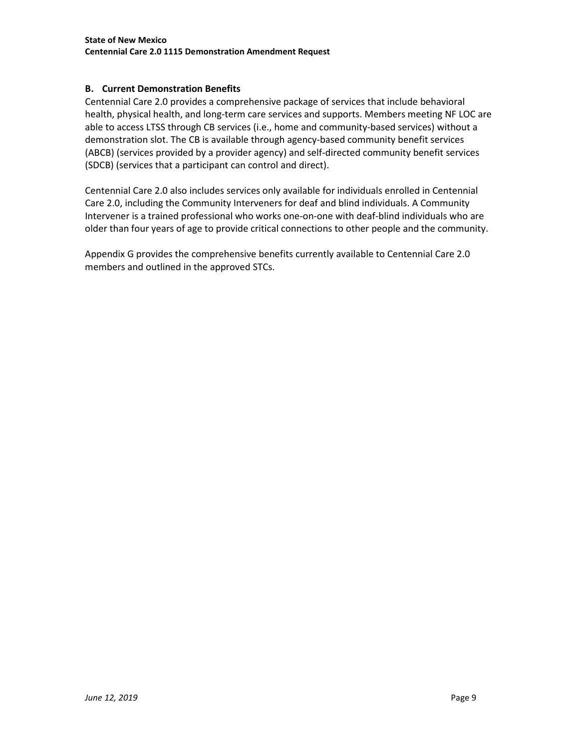### <span id="page-8-0"></span>**B. Current Demonstration Benefits**

Centennial Care 2.0 provides a comprehensive package of services that include behavioral health, physical health, and long-term care services and supports. Members meeting NF LOC are able to access LTSS through CB services (i.e., home and community-based services) without a demonstration slot. The CB is available through agency-based community benefit services (ABCB) (services provided by a provider agency) and self-directed community benefit services (SDCB) (services that a participant can control and direct).

Centennial Care 2.0 also includes services only available for individuals enrolled in Centennial Care 2.0, including the Community Interveners for deaf and blind individuals. A Community Intervener is a trained professional who works one-on-one with deaf-blind individuals who are older than four years of age to provide critical connections to other people and the community.

Appendix G provides the comprehensive benefits currently available to Centennial Care 2.0 members and outlined in the approved STCs.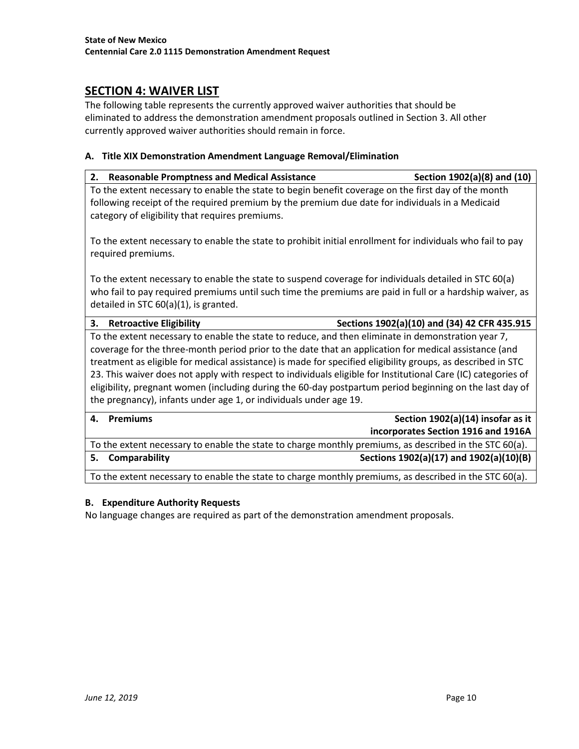# <span id="page-9-0"></span>**SECTION 4: WAIVER LIST**

The following table represents the currently approved waiver authorities that should be eliminated to address the demonstration amendment proposals outlined in Section 3. All other currently approved waiver authorities should remain in force.

### <span id="page-9-1"></span>**A. Title XIX Demonstration Amendment Language Removal/Elimination**

| <b>Reasonable Promptness and Medical Assistance</b><br>2.                                                                                                                                                                                                                                                                                                                                                                                   | Section 1902(a)(8) and (10)                  |
|---------------------------------------------------------------------------------------------------------------------------------------------------------------------------------------------------------------------------------------------------------------------------------------------------------------------------------------------------------------------------------------------------------------------------------------------|----------------------------------------------|
| To the extent necessary to enable the state to begin benefit coverage on the first day of the month<br>following receipt of the required premium by the premium due date for individuals in a Medicaid<br>category of eligibility that requires premiums.                                                                                                                                                                                   |                                              |
| To the extent necessary to enable the state to prohibit initial enrollment for individuals who fail to pay<br>required premiums.                                                                                                                                                                                                                                                                                                            |                                              |
| To the extent necessary to enable the state to suspend coverage for individuals detailed in STC 60(a)<br>who fail to pay required premiums until such time the premiums are paid in full or a hardship waiver, as<br>detailed in STC 60(a)(1), is granted.                                                                                                                                                                                  |                                              |
| 3.<br><b>Retroactive Eligibility</b>                                                                                                                                                                                                                                                                                                                                                                                                        | Sections 1902(a)(10) and (34) 42 CFR 435.915 |
| To the extent necessary to enable the state to reduce, and then eliminate in demonstration year 7,<br>coverage for the three-month period prior to the date that an application for medical assistance (and<br>treatment as eligible for medical assistance) is made for specified eligibility groups, as described in STC<br>23. This waiver does not apply with respect to individuals eligible for Institutional Care (IC) categories of |                                              |
| eligibility, pregnant women (including during the 60-day postpartum period beginning on the last day of<br>the pregnancy), infants under age 1, or individuals under age 19.                                                                                                                                                                                                                                                                |                                              |
| 4.<br><b>Premiums</b>                                                                                                                                                                                                                                                                                                                                                                                                                       | Section 1902(a)(14) insofar as it            |
|                                                                                                                                                                                                                                                                                                                                                                                                                                             | incorporates Section 1916 and 1916A          |
| To the extent necessary to enable the state to charge monthly premiums, as described in the STC 60(a).                                                                                                                                                                                                                                                                                                                                      |                                              |

To the extent necessary to enable the state to charge monthly premiums, as described in the STC 60(a).

# <span id="page-9-2"></span>**B. Expenditure Authority Requests**

No language changes are required as part of the demonstration amendment proposals.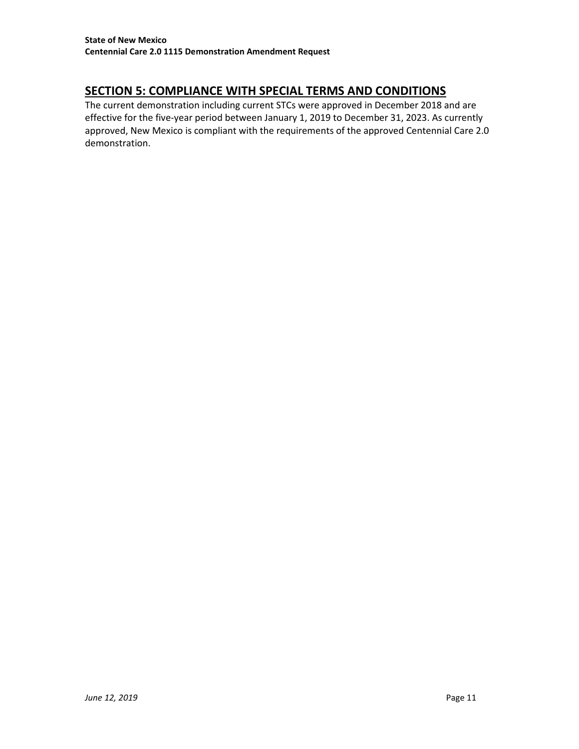# <span id="page-10-0"></span>**SECTION 5: COMPLIANCE WITH SPECIAL TERMS AND CONDITIONS**

The current demonstration including current STCs were approved in December 2018 and are effective for the five-year period between January 1, 2019 to December 31, 2023. As currently approved, New Mexico is compliant with the requirements of the approved Centennial Care 2.0 demonstration.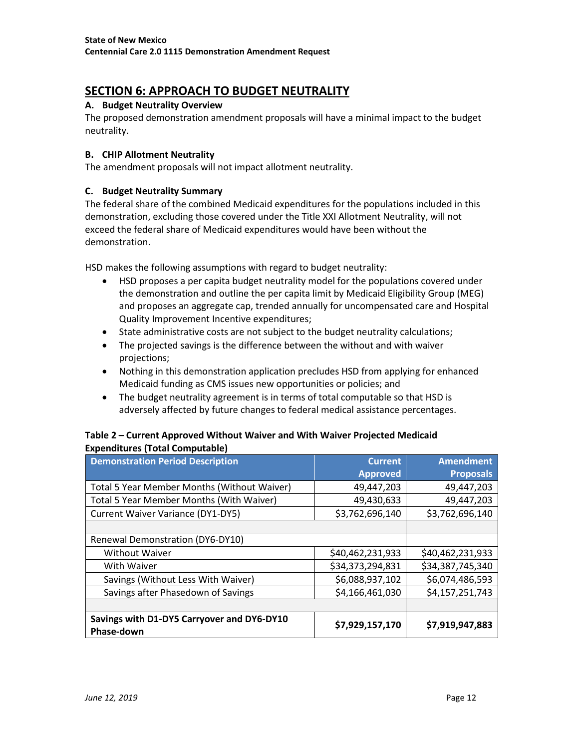# <span id="page-11-0"></span>**SECTION 6: APPROACH TO BUDGET NEUTRALITY**

## <span id="page-11-1"></span>**A. Budget Neutrality Overview**

The proposed demonstration amendment proposals will have a minimal impact to the budget neutrality.

### <span id="page-11-2"></span>**B. CHIP Allotment Neutrality**

<span id="page-11-3"></span>The amendment proposals will not impact allotment neutrality.

## **C. Budget Neutrality Summary**

The federal share of the combined Medicaid expenditures for the populations included in this demonstration, excluding those covered under the Title XXI Allotment Neutrality, will not exceed the federal share of Medicaid expenditures would have been without the demonstration.

HSD makes the following assumptions with regard to budget neutrality:

- HSD proposes a per capita budget neutrality model for the populations covered under the demonstration and outline the per capita limit by Medicaid Eligibility Group (MEG) and proposes an aggregate cap, trended annually for uncompensated care and Hospital Quality Improvement Incentive expenditures;
- State administrative costs are not subject to the budget neutrality calculations;
- The projected savings is the difference between the without and with waiver projections;
- Nothing in this demonstration application precludes HSD from applying for enhanced Medicaid funding as CMS issues new opportunities or policies; and
- The budget neutrality agreement is in terms of total computable so that HSD is adversely affected by future changes to federal medical assistance percentages.

## **Table 2 – Current Approved Without Waiver and With Waiver Projected Medicaid Expenditures (Total Computable)**

| <b>Demonstration Period Description</b>                  | <b>Current</b>   | <b>Amendment</b> |
|----------------------------------------------------------|------------------|------------------|
|                                                          | <b>Approved</b>  | <b>Proposals</b> |
| Total 5 Year Member Months (Without Waiver)              | 49,447,203       | 49,447,203       |
| Total 5 Year Member Months (With Waiver)                 | 49,430,633       | 49,447,203       |
| Current Waiver Variance (DY1-DY5)                        | \$3,762,696,140  | \$3,762,696,140  |
|                                                          |                  |                  |
| Renewal Demonstration (DY6-DY10)                         |                  |                  |
| <b>Without Waiver</b>                                    | \$40,462,231,933 | \$40,462,231,933 |
| With Waiver                                              | \$34,373,294,831 | \$34,387,745,340 |
| Savings (Without Less With Waiver)                       | \$6,088,937,102  | \$6,074,486,593  |
| Savings after Phasedown of Savings                       | \$4,166,461,030  | \$4,157,251,743  |
|                                                          |                  |                  |
| Savings with D1-DY5 Carryover and DY6-DY10<br>Phase-down | \$7,929,157,170  | \$7,919,947,883  |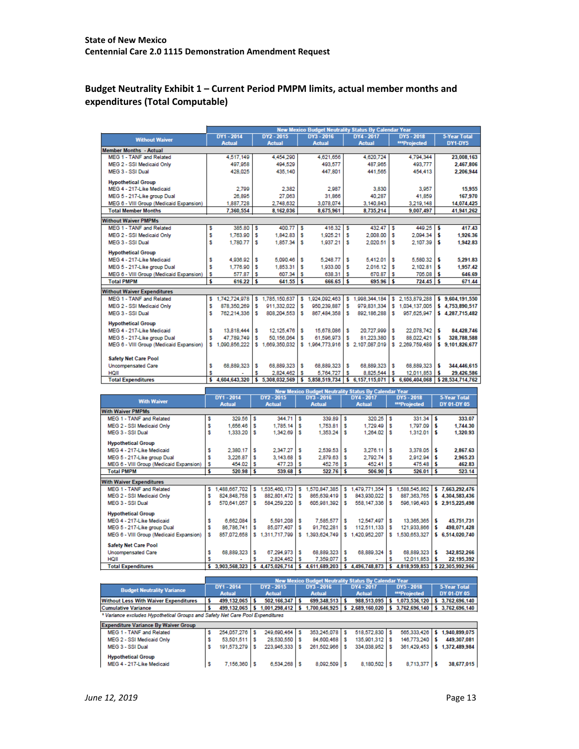# **Budget Neutrality Exhibit 1 – Current Period PMPM limits, actual member months and expenditures (Total Computable)**

|                                         | <b>New Mexico Budget Neutrality Status By Calendar Year</b> |                 |   |                  |   |                 |    |                                                      |    |                   |    |                     |  |
|-----------------------------------------|-------------------------------------------------------------|-----------------|---|------------------|---|-----------------|----|------------------------------------------------------|----|-------------------|----|---------------------|--|
| <b>Without Waiver</b>                   |                                                             | DY1 - 2014      |   | DY2 - 2015       |   | DY3 - 2016      |    | DY4 - 2017                                           |    | <b>DY5 - 2018</b> |    | <b>5-Year Total</b> |  |
|                                         |                                                             | <b>Actual</b>   |   | <b>Actual</b>    |   | <b>Actual</b>   |    | <b>Actual</b>                                        |    | ***Projected      |    | DY1-DY5             |  |
| Member Months - Actual                  |                                                             |                 |   |                  |   |                 |    |                                                      |    |                   |    |                     |  |
| MEG 1 - TANF and Related                |                                                             | 4.517.149       |   | 4.454.290        |   | 4.621.656       |    | 4.620.724                                            |    | 4.794.344         |    | 23,008,163          |  |
| MEG 2 - SSI Medicaid Only               |                                                             | 497.958         |   | 494,529          |   | 493.577         |    | 487.965                                              |    | 493.777           |    | 2.467.806           |  |
| MEG 3 - SSI Dual                        |                                                             | 428.025         |   | 435.140          |   | 447.801         |    | 441.565                                              |    | 454,413           |    | 2,206,944           |  |
| <b>Hypothetical Group</b>               |                                                             |                 |   |                  |   |                 |    |                                                      |    |                   |    |                     |  |
| MFG 4 - 217-Like Medicaid               |                                                             | 2,799           |   | 2.382            |   | 2.987           |    | 3.830                                                |    | 3,957             |    | 15,955              |  |
| MEG 5 - 217-Like group Dual             |                                                             | 26,895          |   | 27.063           |   | 31.866          |    | 40.287                                               |    | 41.859            |    | 167,970             |  |
| MEG 6 - VIII Group (Medicaid Expansion) |                                                             | 1.887.728       |   | 2.748.632        |   | 3.078.074       |    | 3.140.843                                            |    | 3.219.148         |    | 14.074.425          |  |
| <b>Total Member Months</b>              |                                                             | 7.360.554       |   | 8.162.036        |   | 8.675.961       |    | 8,735,214                                            |    | 9.007.497         |    | 41,941,262          |  |
|                                         |                                                             |                 |   |                  |   |                 |    |                                                      |    |                   |    |                     |  |
| <b>Without Waiver PMPMs</b>             |                                                             |                 |   |                  |   |                 |    |                                                      |    |                   |    |                     |  |
| MEG 1 - TANF and Related                | s                                                           | 385.80          | s | 400.77           | s | $416.32$ \$     |    | 432.47                                               | ١s | 449.25            | ١s | 417.43              |  |
| MEG 2 - SSI Medicaid Only               | s                                                           | 1.763.90        | s | 1.842.83         | s | 1.925.21        | s  | 2.008.00                                             | s  | 2.094.34          | ١s | 1.926.36            |  |
| MFG 3 - SSLDual                         | s                                                           | 1,780.77        | s | 1.857.34         | s | 1,937.21        | s  | 2.020.51                                             | s  | 2.107.39          | ١s | 1,942.83            |  |
| <b>Hypothetical Group</b>               |                                                             |                 |   |                  |   |                 |    |                                                      |    |                   |    |                     |  |
| MEG 4 - 217-Like Medicaid               | s                                                           | 4.936.92        | s | 5.090.46         | s | 5.248.77        | s  | 5.412.01                                             | s  | 5.580.32          | ١s | 5.291.83            |  |
| MEG 5 - 217-Like group Dual             | s                                                           | 1,776.90        | s | 1,853.31         | s | 1,933.00        | s  | 2.016.12                                             | s  | 2.102.81          | s  | 1.957.42            |  |
| MEG 6 - VIII Group (Medicaid Expansion) | s                                                           | 577.87          | s | 607.34           | s | 638.31          | s  | 670.87                                               | s  | 705.08            | ١s | 646.69              |  |
| <b>Total PMPM</b>                       | s                                                           | 616.22          | s | $641.55$ \$      |   | 666.65          | ۱s | 695.96                                               | ١s | $724.45$ \$       |    | 671.44              |  |
| <b>Without Waiver Expenditures</b>      |                                                             |                 |   |                  |   |                 |    |                                                      |    |                   |    |                     |  |
| MEG 1 - TANF and Related                | s                                                           | 1.742.724.978   | s | 1,785,150,637    | s | 924.092.463     | s  | 1.998.344.184                                        | s  | 2.153.879.288     |    | \$9,604,191,550     |  |
| MEG 2 - SSI Medicaid Only               | s                                                           | 878.350.269     | s | 911.332.022      | s | 950.239.887     | s  | 979.831.334                                          | s  | 1.034.137.005     |    | \$4.753.890.517     |  |
| MEG 3 - SSLDual                         | s                                                           | 762.214.336     | s | 808.204.553      | s | 867.484.358     | s  | 892.186.288                                          | s  | 957.625.947       |    | \$4,287,715,482     |  |
|                                         |                                                             |                 |   |                  |   |                 |    |                                                      |    |                   |    |                     |  |
| <b>Hypothetical Group</b>               |                                                             |                 |   |                  |   |                 |    |                                                      |    |                   |    |                     |  |
| MEG 4 - 217-Like Medicaid               | s                                                           | 13,818,444      | s | 12,125,476       | s | 15,678,086      | s  | 20.727.999                                           | s  | 22.078.742        | s  | 84,428,746          |  |
| MEG 5 - 217-Like group Dual             | s                                                           | 47.789.749      | s | 50.156.064       | s | 61,596,973      |    | 81.223.380                                           | s  | 88,022,421        |    | 328,788,588         |  |
| MEG 6 - VIII Group (Medicaid Expansion) |                                                             | \$1,090,856,222 |   | \$1,669,350,032  |   | \$1,964,773,916 |    | \$2.107.087.019                                      |    | \$2.269.759.489   |    | \$9.101.826,677     |  |
|                                         |                                                             |                 |   |                  |   |                 |    |                                                      |    |                   |    |                     |  |
| <b>Safety Net Care Pool</b>             |                                                             |                 |   |                  |   |                 |    |                                                      |    |                   |    |                     |  |
| <b>Uncompensated Care</b>               | s                                                           | 68.889.323      | s | 68.889.323       | s | 68.889.323      | s  | 68.889.323                                           | s  | 68.889.323        | s  | 344,446,615         |  |
| HQII                                    | s                                                           |                 | s | 2.824.462        | s | 5.764.727       | s  | 8.825.544                                            | s  | 12.011.853        | s  | 29,426,586          |  |
| <b>Total Expenditures</b>               | s                                                           | 4.604.643.320   |   | \$ 5,308,032,569 | s | 5.858.519.734   | s  | 6,157,115,071                                        | s  | 6,606,404,068     |    | \$28.534.714.762    |  |
|                                         |                                                             |                 |   |                  |   |                 |    | New Mexico Budget Neutrality Status By Calendar Year |    |                   |    |                     |  |

|                                         | New Mexico Budget Neutrality Status By Calendar Year |                |     |                |    |               |     |               |    |                     |    |                     |
|-----------------------------------------|------------------------------------------------------|----------------|-----|----------------|----|---------------|-----|---------------|----|---------------------|----|---------------------|
| <b>With Waiver</b>                      |                                                      | DY1 - 2014     |     | DY2 - 2015     |    | DY3 - 2016    |     | DY4 - 2017    |    | DY5 - 2018          |    | <b>5-Year Total</b> |
|                                         |                                                      | <b>Actual</b>  |     | <b>Actual</b>  |    | <b>Actual</b> |     | <b>Actual</b> |    | <b>***Projected</b> |    | DY 01-DY 05         |
| <b>With Waiver PMPMs</b>                |                                                      |                |     |                |    |               |     |               |    |                     |    |                     |
| MEG 1 - TANF and Related                | s                                                    | 329.56         | l s | 344.71         | s  | 339,89        | s   | 320.25        | s  | 331.34              |    | 333.07              |
| MEG 2 - SSI Medicaid Only               |                                                      | 1.656.46       | l s | 1.785.14       | Ιs | 1,753.81      | Ιs  | 1.729.49      | ΙS | 1.797.09            |    | 1,744.30            |
| MEG 3 - SSI Dual                        |                                                      | 1,333.20       | ١s  | 1,342.69       | ١s | 1,353.24      | ΙS  | 1,264.02      | ۱s | 1,312.01            | ۱s | 1,320.93            |
| <b>Hypothetical Group</b>               |                                                      |                |     |                |    |               |     |               |    |                     |    |                     |
| MEG 4 - 217-Like Medicaid               |                                                      | 2.380.17       | s   | 2.347.27       | ١s | $2.539.53$ \$ |     | 3.276.11      | ΙS | 3,378.05            |    | 2,867.63            |
| MEG 5 - 217-Like group Dual             |                                                      | 3,226.87       | ΙS  | 3,143.68       | -5 | 2,879.63      | ΙS  | 2.792.74      | ١s | 2.912.94            |    | 2.965.23            |
| MEG 6 - VIII Group (Medicaid Expansion) | s                                                    | 454.02         | ۱s  | 477.23         |    | 452.76        | ΙS  | 452.41        | ۱s | 475.48              |    | 462.83              |
| <b>Total PMPM</b>                       | s                                                    | 520.98         | ١s  | 539.68         | ١s | 522.76        | ۱s  | 506.90        | ١s | 526.01              | ١s | 523.14              |
|                                         |                                                      |                |     |                |    |               |     |               |    |                     |    |                     |
| <b>With Waiver Expenditures</b>         |                                                      |                |     |                |    |               |     |               |    |                     |    |                     |
| <b>MEG 1 - TANF and Related</b>         | s                                                    | 1.488.667.702  | s   | 1.535.460.173  | s  | 1.570.847.385 | s   | 1,479,771,354 | s  | 1,588,545,862       |    | \$7.663,292.476     |
| MEG 2 - SSI Medicaid Only               | s                                                    | 824,848,758 \$ |     | 882,801,472 \$ |    | 865,639,419   | ΙS  | 843,930,022   | ١s | 887, 363, 765       |    | \$4,304,583,436     |
| MEG 3 - SSI Dual                        | s                                                    | 570.641.057    | s   | 584.259.220    | s  | 605.981.392   | s   | 558.147.336   | s  | 596.196.493         |    | \$2.915.225.498     |
| <b>Hypothetical Group</b>               |                                                      |                |     |                |    |               |     |               |    |                     |    |                     |
| MEG 4 - 217-Like Medicaid               |                                                      | 6.662.084      | s   | 5,591,208      | s  | 7,585,577     | Ιs  | 12.547.497    | s  | 13.365.365          |    | 45.751.731          |
| MEG 5 - 217-Like group Dual             |                                                      | 86.786.741     | l s | 85,077,407     | s  | 91.762.281    | - 5 | 112,511,133   | s  | 121,933,866         | ١s | 498.071.428         |
| MEG 6 - VIII Group (Medicaid Expansion) | s                                                    | 857.072.658    | s   | 1.311.717.799  | s  | 1.393.624.749 | s   | 1,420,952.207 | s  | 1.530.653.327       |    | \$ 6.514,020,740    |
| <b>Safety Net Care Pool</b>             |                                                      |                |     |                |    |               |     |               |    |                     |    |                     |
| <b>Uncompensated Care</b>               |                                                      | 68.889.323     | s   | 67.294.973     | s  | 68.889.323    |     | 68,889,324    | s  | 68.889.323          |    | 342,852,266         |
| HQII                                    |                                                      |                |     | 2,824,462      | s  | 7,359,077     | s   |               | s  | 12,011,853          | s  | 22,195,392          |
| <b>Total Expenditures</b>               | s                                                    | 3,903,568,323  |     | 4,475,026,714  |    | 4,611,689,203 |     | 4,496,748,873 |    | 4,818,959,853       |    | \$22,305,992,966    |

|                                                                               |                |  |                |  | New Mexico Budget Neutrality Status By Calendar Year                                             |  |               |  |              |  |                                             |  |  |
|-------------------------------------------------------------------------------|----------------|--|----------------|--|--------------------------------------------------------------------------------------------------|--|---------------|--|--------------|--|---------------------------------------------|--|--|
| <b>Budget Neutrality Variance</b>                                             | DY1 - 2014     |  | DY2 - 2015     |  | DY3 - 2016                                                                                       |  | DY4 - 2017    |  | DY5 - 2018   |  | 5-Year Total                                |  |  |
|                                                                               | <b>Actual</b>  |  | <b>Actual</b>  |  | <b>Actual</b>                                                                                    |  | <b>Actual</b> |  | ***Projected |  | DY 01-DY 05                                 |  |  |
| <b>Without Less With Waiver Expenditures</b>                                  | 499.132.065 \$ |  | 502.166.347 \$ |  | 699.348.513 \$                                                                                   |  |               |  |              |  | 988,513,095 \$1,073,536,120 \$3,762,696,140 |  |  |
| <b>Cumulative Variance</b>                                                    |                |  |                |  | 499.132.065 \$ 1.001.298.412 \$ 1.700.646.925 \$ 2.689.160.020 \$ 3.762.696.140 \$ 3.762.696.140 |  |               |  |              |  |                                             |  |  |
| * Variance excludes Hypothetical Groups and Safety Net Care Pool Expenditures |                |  |                |  |                                                                                                  |  |               |  |              |  |                                             |  |  |

| <b>Expenditure Variance By Waiver Group</b> |                 |                |                |                |                |                             |
|---------------------------------------------|-----------------|----------------|----------------|----------------|----------------|-----------------------------|
| MEG 1 - TANF and Related                    | 254.057.276 \$  | 249.690.464 \$ | 353.245.078 \$ | 518.572.830 S  |                | 565,333,426 \$1,940,899,075 |
| MEG 2 - SSI Medicaid Only                   | 53.501.511   \$ | 28,530,550 \$  | 84,600,468 \$  | 135,901,312 \$ | 146.773.240 \$ | 449.307.081                 |
| MEG 3 - SSI Dual                            | 191.573.279 \$  | 223.945.333 \$ | 261.502.966 \$ | 334.038.952 S  |                | 361.429.453 \$1.372.489.984 |
| <b>Hypothetical Group</b>                   |                 |                |                |                |                |                             |
| MEG 4 - 217-Like Medicaid                   | 7.156.360 \$    | $6.534.268$ \$ | 8,092,509 \$   | 8.180.502 \$   | $8.713.377$ \$ | 38.677.015                  |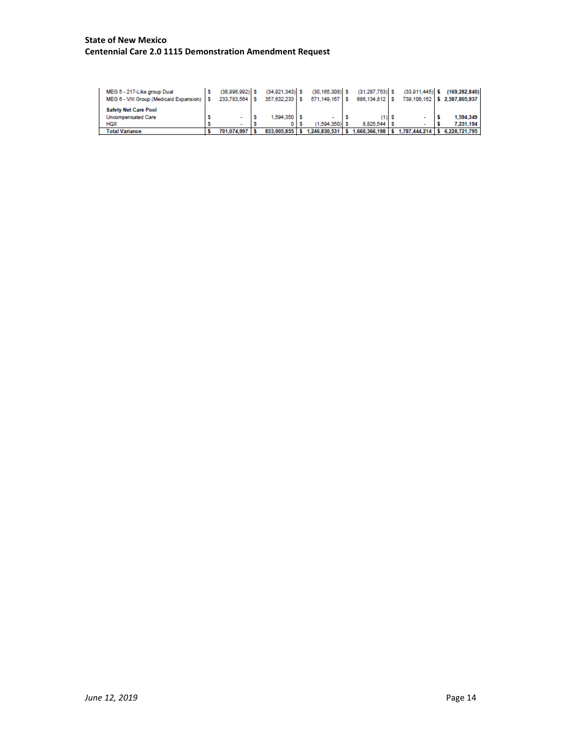#### **State of New Mexico Centennial Care 2.0 1115 Demonstration Amendment Request**

<span id="page-13-0"></span>

| MEG 5 - 217-Like group Dual<br>MEG 6 - VIII Group (Medicaid Expansion)   \$ | $(38.996.992)$ \$<br>233,783,564 \$ | $(34.921.343)$ \$<br>357,632,233 \$ | $(30.165.308)$ \$<br>571,149,167 | $(31.287.753)$ S<br>686,134,812 \$ | $(33.911.445)$ \$  | (169,282,840)<br>739.106.162 \$2.587.805.937 |
|-----------------------------------------------------------------------------|-------------------------------------|-------------------------------------|----------------------------------|------------------------------------|--------------------|----------------------------------------------|
| <b>Safety Net Care Pool</b>                                                 |                                     |                                     |                                  |                                    |                    |                                              |
| <b>Uncompensated Care</b>                                                   |                                     | $1,594,350$ \$                      |                                  |                                    |                    | 1,594,349                                    |
| HQII                                                                        |                                     |                                     | (1.594.350)                      | 8.825.544                          |                    | 7.231.194                                    |
| <b>Total Variance</b>                                                       | 701.074.997                         | 833.005.855 \$                      | 1.246.830.531                    | .660.366.198                       | $1,787,444,214$ \$ | 6.228.721.795                                |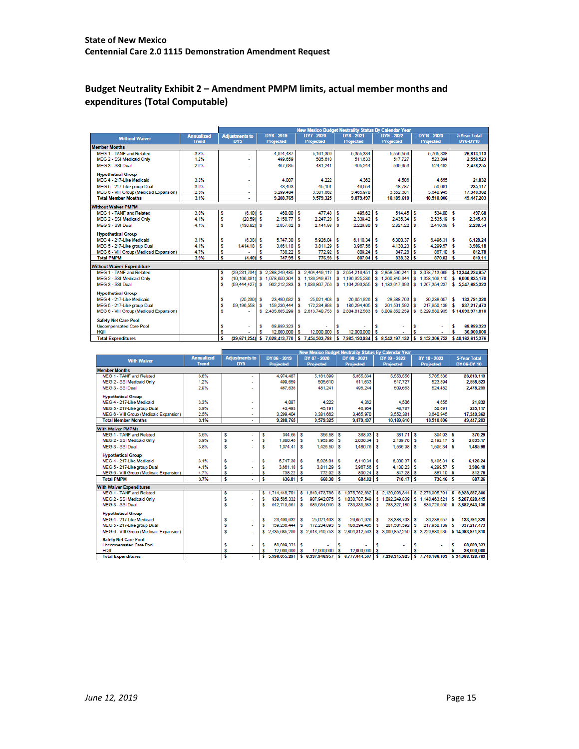# **Budget Neutrality Exhibit 2 – Amendment PMPM limits, actual member months and expenditures (Total Computable)**

|                                         |                   |        |                       |   |                  |          |                  |   |                  |    | <b>New Mexico Budget Neutrality Status By Calendar Year</b> |          |                  |               |                     |
|-----------------------------------------|-------------------|--------|-----------------------|---|------------------|----------|------------------|---|------------------|----|-------------------------------------------------------------|----------|------------------|---------------|---------------------|
| <b>Without Waiver</b>                   | <b>Annualized</b> |        | <b>Adjustments to</b> |   | <b>DY6-2019</b>  |          | DY7 - 2020       |   | DY8-2021         |    | DY9 - 2022                                                  |          | DY10 - 2023      |               | <b>5-Year Total</b> |
|                                         | <b>Trend</b>      |        | DY5                   |   | <b>Projected</b> |          | <b>Projected</b> |   | <b>Projected</b> |    | <b>Projected</b>                                            |          | <b>Projected</b> |               | DY6-DY10            |
| <b>Member Months</b>                    |                   |        |                       |   |                  |          |                  |   |                  |    |                                                             |          |                  |               |                     |
| MEG 1 - TANF and Related                | 3.8%              |        |                       |   | 4.974.487        |          | 5,161,399        |   | 5.355.334        |    | 5,556,556                                                   |          | 5,765,338        |               | 26,813,113          |
| MEG 2 - SSI Medicaid Only               | 1.2%              |        |                       |   | 499,659          |          | 505.610          |   | 511.633          |    | 517.727                                                     |          | 523.894          |               | 2.558.523           |
| MEG 3 - SSI Dual                        | 2.9%              |        |                       |   | 467.635          |          | 481.241          |   | 495.244          |    | 509.653                                                     |          | 524,482          |               | 2,478,255           |
| <b>Hypothetical Group</b>               |                   |        |                       |   |                  |          |                  |   |                  |    |                                                             |          |                  |               |                     |
| MEG 4 - 217-Like Medicaid               | 3.3%              |        |                       |   | 4.087            |          | 4.222            |   | 4.362            |    | 4.506                                                       |          | 4.655            |               | 21,832              |
| MEG 5 - 217-Like group Dual             | 3.9%              |        | ٠                     |   | 43.493           |          | 45.191           |   | 46.954           |    | 48.787                                                      |          | 50.691           |               | 235.117             |
| MEG 6 - VIII Group (Medicaid Expansion) | 2.5%              |        |                       |   | 3.299.404        |          | 3.381.662        |   | 3,465,970        |    | 3,552,381                                                   |          | 3.640.945        |               | 17,340,362          |
| <b>Total Member Months</b>              | 3.1%              |        | ÷.                    |   | 9.288.765        |          | 9,579,325        |   | 9,879,497        |    | 10,189,610                                                  |          | 10.510.006       |               | 49,447,203          |
| <b>Without Waiver PMPM</b>              |                   |        |                       |   |                  |          |                  |   |                  |    |                                                             |          |                  |               |                     |
| MEG 1 - TANF and Related                | 3.8%              |        | $(6.10)$ \$           |   | 460.00           |          | 477.48 S         |   | 495.62           | -S | 514.45                                                      |          | 534.00           |               | 497.68              |
| MEG 2 - SSI Medicaid Only               | 4.1%              | s<br>s | $(20.59)$ S           |   | 2.158.77         | ١s<br>s  | 2 247 28 \$      |   | 2.339.42         | ١s | 2435.34                                                     | s<br>s   | 2.535.19         | ß<br><b>S</b> | 2.345.43            |
|                                         |                   |        |                       |   |                  |          |                  |   |                  |    |                                                             |          |                  |               |                     |
| MEG 3 - SSI Dual                        | 4.1%              | s      | $(130.82)$ \$         |   | 2.057.62         | s        | 2.141.98 \$      |   | 2,229.80         | s  | 2.321.22                                                    | s        | 2.416.39         | s             | 2.238.54            |
| <b>Hypothetical Group</b>               |                   |        |                       |   |                  |          |                  |   |                  |    |                                                             |          |                  |               |                     |
| MEG 4 - 217-Like Medicaid               | 3.1%              | s      | $(6.38)$ \$           |   | 5.747.30         | s        | $5.926.04$ S     |   | $6.110.34$ S     |    | 6.300.37                                                    | <b>S</b> | 6.496.31         | s             | 6.128.24            |
| MEG 5 - 217-Like group Dual             | 4.1%              | s      | 1,414.18              | s | 3,661.18         | <b>S</b> | 3.811.29         | s | 3,967.56         | s  | 4.130.23                                                    | s        | 4.299.57         | s             | 3,986.18            |
| MEG 6 - VIII Group (Medicaid Expansion) | 4.7%              | s      |                       |   | 738.22           | s        | 772.92           | s | 809.24           | s  | 847.28                                                      | s        | 887.10           | ß             | 812.78              |
| <b>Total PMPM</b>                       | 3.9%              | s      | $(4.40)$ \$           |   | 747.95           | <b>S</b> | $776.93$ \$      |   | 807.04           | ١s | $838.32$ \$                                                 |          | 870.82           | s             | 810.11              |
| <b>Without Waiver Expenditure</b>       |                   |        |                       |   |                  |          |                  |   |                  |    |                                                             |          |                  |               |                     |
| MEG 1 - TANF and Related                |                   | s      | (29.231.764)          | s | 2.288.249.485    | <b>S</b> | 2.464.449.112    | s | 2.654.216.451    | s  | 2.858.596.241                                               |          | \$ 3.078.713.669 |               | \$13.344.224.957    |
| MEG 2 - SSI Medicaid Only               |                   | s      | (10.166.391)          |   | \$1.078.650.304  |          | \$1.136,249,871  |   | \$1.196.925.236  |    | \$1,260,840,644                                             |          | \$1.328,169,115  |               | \$ 6,000,835,170    |
| MEG 3 - SSI Dual                        |                   | s      | (59, 444, 427)        | s | 962.212.283      |          | \$1,030,807,756  |   | \$1,104,293,355  |    | \$1,183,017,693                                             |          | \$1,267,354,237  |               | \$ 5,547,685,323    |
| <b>Hypothetical Group</b>               |                   |        |                       |   |                  |          |                  |   |                  |    |                                                             |          |                  |               |                     |
| MEG 4 - 217-Like Medicaid               |                   |        | (25.230)              | s | 23,490.632       | s        | 25.021.403       | s | 26.651.926       | s  | 28,388,703                                                  | s        | 30.238.657       | s             | 133.791.320         |
| MEG 5 - 217-Like group Dual             |                   | s<br>s | 59.196.558            | s | 159.236.444      | s        | 172.234.893      |   | 186.294.405      | s  | 201.501.592                                                 | s        | 217.950.139      | s             | 937.217.473         |
| MEG 6 - VIII Group (Medicaid Expansion) |                   | s      |                       |   | \$2,435,685,299  |          | \$2.613,740,753  |   | \$2,804.812.563  |    | \$ 3,009,852,259                                            |          | \$3,229,880,935  |               | \$14,093,971,810    |
|                                         |                   |        |                       |   |                  |          |                  |   |                  |    |                                                             |          |                  |               |                     |
| <b>Safety Net Care Pool</b>             |                   |        |                       |   |                  |          |                  |   |                  |    |                                                             |          |                  |               |                     |
| <b>Uncompensated Care Pool</b>          |                   | s      |                       | s | 68.889.323       | s        |                  | s |                  | s  |                                                             | s        |                  | s             | 68.889.323          |
| <b>HQII</b>                             |                   | s      |                       | s | 12,000,000       | s        | 12,000,000       | s | 12,000,000       | s  |                                                             |          |                  | \$            | 36,000,000          |
| <b>Total Expenditures</b>               |                   | s      | (39.671.254)          | s | 7,028,413,770    | s        | 7.454.503.788    | s | 7.985.193.934    | s  | 8.542.197.132                                               | l s      | 9.152.306.752    |               | \$40.162.615.376    |

|                                         |                   |                       |   |                  |          |                  |   |                                |     | New Mexico Budget Neutrality Status By Calendar Year |    |                  |     |                     |
|-----------------------------------------|-------------------|-----------------------|---|------------------|----------|------------------|---|--------------------------------|-----|------------------------------------------------------|----|------------------|-----|---------------------|
| <b>With Waiver</b>                      | <b>Annualized</b> | <b>Adiustments to</b> |   | DY 06 - 2019     |          | DY 07 - 2020     |   | DY 08 - 2021                   |     | DY 09 - 2022                                         |    | DY 10 - 2023     |     | <b>5-Year Total</b> |
|                                         | <b>Trend</b>      | DY5                   |   | <b>Projected</b> |          | <b>Projected</b> |   | <b>Projected</b>               |     | <b>Projected</b>                                     |    | <b>Projected</b> |     | DY 06-DY 10         |
| <b>Member Months</b>                    |                   |                       |   |                  |          |                  |   |                                |     |                                                      |    |                  |     |                     |
| MEG 1 - TANF and Related                | 3.8%              |                       |   | 4.974.487        |          | 5.161.399        |   | 5.355.334                      |     | 5.556.556                                            |    | 5.765.338        |     | 26.813.113          |
| MEG 2 - SSI Medicaid Only               | 1.2%              |                       |   | 499.659          |          | 505.610          |   | 511.633                        |     | 517.727                                              |    | 523.894          |     | 2,558,523           |
| MEG 3 - SSI Dual                        | 2.9%              |                       |   | 467.635          |          | 481.241          |   | 495.244                        |     | 509.653                                              |    | 524.482          |     | 2.478.255           |
| <b>Hypothetical Group</b>               |                   |                       |   |                  |          |                  |   |                                |     |                                                      |    |                  |     |                     |
| MEG 4 - 217-Like Medicaid               | 3.3%              |                       |   | 4.087            |          | 4.222            |   | 4.362                          |     | 4.506                                                |    | 4,655            |     | 21.832              |
| MEG 5 - 217-Like group Dual             | 3.9%              |                       |   | 43.493           |          | 45,191           |   | 46,954                         |     | 48,787                                               |    | 50,691           |     | 235,117             |
| MEG 6 - VIII Group (Medicaid Expansion) | 2.5%              | ٠                     |   | 3.299.404        |          | 3.381.662        |   | 3.465.970                      |     | 3,552,381                                            |    | 3.640.945        |     | 17.340.362          |
| <b>Total Member Months</b>              | 3.1%              | ٠                     |   | 9,288.765        |          | 9,579,325        |   | 9,879,497                      |     | 10.189.610                                           |    | 10.510.006       |     | 49,447,203          |
| <b>With Waiver PMPMs</b>                |                   |                       |   |                  |          |                  |   |                                |     |                                                      |    |                  |     |                     |
| MEG 1 - TANF and Related                | 3.5%              | s<br>٠                | s | $344.65$ S       |          | 356.58           | s | 368.93                         | s   | 381.71                                               | s  | 394.93           | ١s  | 370.29              |
| MEG 2 - SSI Medicaid Only               | 3.9%              | s                     | s | $1.880.45$ S     |          | 1.953.96         | s | 2.030.34                       | s   | 2.109.70                                             | s  | $2.192.17$ \$    |     | 2.035.17            |
| MEG 3 - SSLDual                         | 3.8%              | s                     | s | 1.374.41         | Ιs       | 1,426.59         | s | 1,480.76 S                     |     | 1,536.98                                             | ١s | 1.595.34         | l S | 1.485.98            |
| <b>Hypothetical Group</b>               |                   |                       |   |                  |          |                  |   |                                |     |                                                      |    |                  |     |                     |
| MEG 4 - 217-Like Medicaid               | 3.1%              | s                     | s | 5.747.30 S       |          | $5.926.04$ \$    |   | 6.110.34 S                     |     | 6,300.37 \$                                          |    | 6,496.31         | ı.  | 6.128.24            |
| MEG 5 - 217-Like group Dual             | 4.1%              | s                     | s | $3.661.18$ S     |          | 3.811.29         | s | 3,967.56                       | s   | 4.130.23                                             | s  | 4.299.57         | ı.  | 3,986.18            |
| MEG 6 - VIII Group (Medicaid Expansion) | 4.7%              | s                     | s | 738.22           | l s      | 772.92           | s | 809.24                         | l S | 847.28 \$                                            |    | 887.10           | ١s  | 812.78              |
| <b>Total PMPM</b>                       | 3.7%              | s                     | s | 636.81           | ١s       | 660.38           | s | 684 82                         | ١s  | $710.17$ \$                                          |    | 736.46           | ß   | 687.26              |
| <b>With Waiver Expenditures</b>         |                   |                       |   |                  |          |                  |   |                                |     |                                                      |    |                  |     |                     |
| MEG 1 - TANF and Related                |                   | s<br>٠                | s | 1.714.448.701    | s        | 1.840.473.788    |   | \$1,975,762,682                |     | \$2.120.998.344                                      |    | \$2.276.905.791  |     | \$9.928.587.306     |
| MEG 2 - SSI Medicaid Only               |                   | s                     | s | 939,585,332      | s        | 987.942.075      |   | \$1.038.787.549                |     | \$1.092.249.839                                      |    | \$1.148.463.621  |     | \$ 5,207,028,415    |
| MEG 3 - SSI Dual                        |                   | s<br>$\overline{a}$   | s | 642.719.561      | ١s       | 686,534,045      | s | 733,335,383                    | s   | 783,327,189                                          | s  | 836,726,959      |     | \$ 3,682,643,136    |
| <b>Hypothetical Group</b>               |                   |                       |   |                  |          |                  |   |                                |     |                                                      |    |                  |     |                     |
| MEG 4 - 217-Like Medicaid               |                   | \$                    | s | 23.490.632 S     |          | 25.021.403 \$    |   | 26,651,926 \$                  |     | 28.388.703 S                                         |    | 30.238.657       | s   | 133,791,320         |
| MEG 5 - 217-Like group Dual             |                   | s<br>$\overline{a}$   | s | 159.236.444 S    |          | 172.234.893 \$   |   | 186,294,405                    | s   | 201.501.592                                          | -S | 217.950.139      | l S | 937.217.473         |
| MEG 6 - VIII Group (Medicaid Expansion) |                   | s<br>٠                |   | \$2.435.685.299  |          | \$2.613,740,753  |   | \$2.804.812.563                |     | \$ 3,009,852,259                                     |    | \$3,229,880,935  |     | \$14.093.971.810    |
| <b>Safety Net Care Pool</b>             |                   |                       |   |                  |          |                  |   |                                |     |                                                      |    |                  |     |                     |
| <b>Uncompensated Care Pool</b>          |                   | s                     | s | 68,889,323 S     |          |                  |   |                                | s   |                                                      | s  |                  | s   | 68,889,323          |
| HQII                                    |                   | s                     |   | 12,000,000 S     |          | 12.000.000       | s | 12,000,000                     | l s |                                                      |    |                  | s   | 36,000,000          |
| <b>Total Expenditures</b>               |                   | s                     | s | 5.996.055.291    | <b>S</b> |                  |   | 6.337.946.957 \$ 6.777.644.507 |     | $5$ 7.236.315.925 \$                                 |    | 7.740.166.103    |     | \$34,088,128,783    |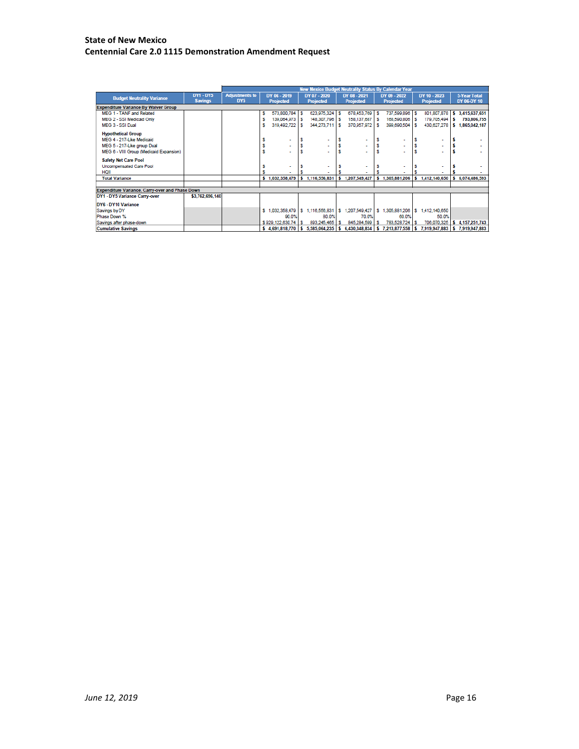#### **State of New Mexico Centennial Care 2.0 1115 Demonstration Amendment Request**

|                                                 |                                    | <b>New Mexico Budget Neutrality Status By Calendar Year</b> |   |                                  |    |                                  |     |                                                                                              |   |                                  |    |                                  |   |                                    |
|-------------------------------------------------|------------------------------------|-------------------------------------------------------------|---|----------------------------------|----|----------------------------------|-----|----------------------------------------------------------------------------------------------|---|----------------------------------|----|----------------------------------|---|------------------------------------|
| <b>Budget Neutrality Variance</b>               | <b>DY1 - DY5</b><br><b>Savings</b> | <b>Adjustments to</b><br>DY <sub>5</sub>                    |   | DY 06 - 2019<br><b>Projected</b> |    | DY 07 - 2020<br><b>Projected</b> |     | DY 08 - 2021<br><b>Projected</b>                                                             |   | DY 09 - 2022<br><b>Projected</b> |    | DY 10 - 2023<br><b>Projected</b> |   | <b>5-Year Total</b><br>DY 06-DY 10 |
| <b>Expenditure Variance By Waiver Group</b>     |                                    |                                                             |   |                                  |    |                                  |     |                                                                                              |   |                                  |    |                                  |   |                                    |
| MEG 1 - TANF and Related                        |                                    |                                                             | s | 573,800,784                      | -S | 623.975.324 \$                   |     | 678.453.769 S                                                                                |   | 737,599,896 \$                   |    | 801,807,878                      | s | 3,415,637,651                      |
| MEG 2 - SSI Medicaid Only                       |                                    |                                                             |   | 139.064.973                      | ١s | 148,307,796 \$                   |     | 158,137,687 S                                                                                |   | 168,590,806 \$                   |    | 179.705.494                      | s | 793,806,755                        |
| MEG 3 - SSI Dual                                |                                    |                                                             |   | 319,492,722                      | s  | 344,273,711 \$                   |     | 370,957,972 \$                                                                               |   | 399,690,504                      | ΙS | 430,627,278                      | s | 1,865,042,187                      |
| <b>Hypothetical Group</b>                       |                                    |                                                             |   |                                  |    |                                  |     |                                                                                              |   |                                  |    |                                  |   |                                    |
| MEG 4 - 217-Like Medicaid                       |                                    |                                                             |   |                                  |    | ۰                                |     |                                                                                              |   |                                  |    |                                  |   |                                    |
| MEG 5 - 217-Like group Dual                     |                                    |                                                             |   |                                  |    | ٠                                |     |                                                                                              |   |                                  |    |                                  |   |                                    |
| MEG 6 - VIII Group (Medicaid Expansion)         |                                    |                                                             |   |                                  |    | ٠                                |     |                                                                                              |   |                                  |    |                                  |   |                                    |
| <b>Safety Net Care Pool</b>                     |                                    |                                                             |   |                                  |    |                                  |     |                                                                                              |   |                                  |    |                                  |   |                                    |
| Uncompensated Care Pool                         |                                    |                                                             |   |                                  |    | ٠                                |     |                                                                                              |   |                                  |    |                                  |   |                                    |
| <b>HQII</b>                                     |                                    |                                                             |   |                                  |    |                                  |     |                                                                                              |   |                                  |    |                                  |   |                                    |
| <b>Total Variance</b>                           |                                    |                                                             |   | \$1,032,358,479                  |    | \$1,116,556,831                  |     | 1,207,549,427                                                                                |   |                                  |    | 1,305,881,206 \$1,412,140,650    |   | 6,074,486,593                      |
|                                                 |                                    |                                                             |   |                                  |    |                                  |     |                                                                                              |   |                                  |    |                                  |   |                                    |
| Expenditure Variance, Carry-over and Phase Down |                                    |                                                             |   |                                  |    |                                  |     |                                                                                              |   |                                  |    |                                  |   |                                    |
| DY1 - DY5 Variance Carry-over                   | \$3,762,696,140                    |                                                             |   |                                  |    |                                  |     |                                                                                              |   |                                  |    |                                  |   |                                    |
| DY6 - DY10 Variance                             |                                    |                                                             |   |                                  |    |                                  |     |                                                                                              |   |                                  |    |                                  |   |                                    |
| Savings by DY                                   |                                    |                                                             |   | \$1.032,358,479                  |    | \$1,116,556,831                  | l S | 1,207,549,427                                                                                | s | 1,305,881,206                    |    | \$1,412,140,650                  |   |                                    |
| Phase Down %                                    |                                    |                                                             |   | 90.0%                            |    | 80.0%                            |     | 70.0%                                                                                        |   | 60.0%                            |    | 50.0%                            |   |                                    |
| Savings after phase-down                        |                                    |                                                             |   | \$929.122.630.74                 | ı. | 893,245,465 \$                   |     | 845,284,599                                                                                  |   | 783,528,724                      |    | 706.070.325                      |   | 4,157,251,743                      |
| <b>Cumulative Savings</b>                       |                                    |                                                             |   |                                  |    |                                  |     | \$ 4,691,818,770   \$ 5,585,064,235   \$ 6,430,348,834   \$ 7,213,877,558   \$ 7,919,947,883 |   |                                  |    |                                  |   | \$7,919,947,883                    |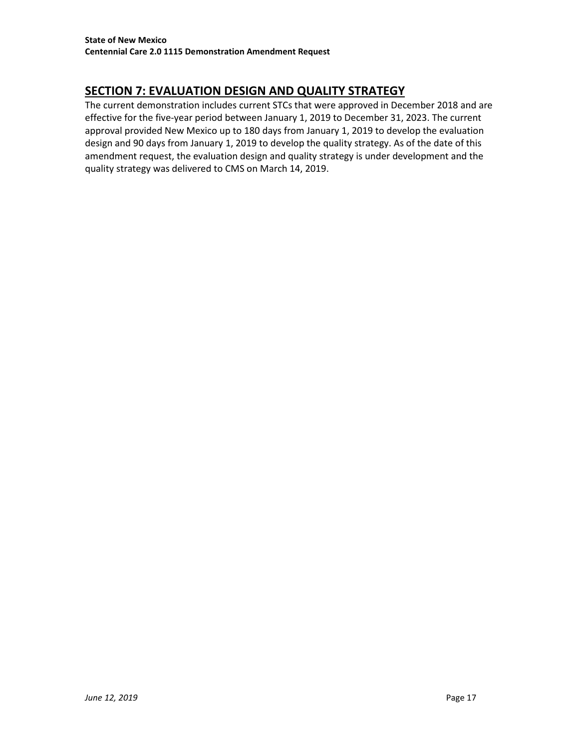# **SECTION 7: EVALUATION DESIGN AND QUALITY STRATEGY**

The current demonstration includes current STCs that were approved in December 2018 and are effective for the five-year period between January 1, 2019 to December 31, 2023. The current approval provided New Mexico up to 180 days from January 1, 2019 to develop the evaluation design and 90 days from January 1, 2019 to develop the quality strategy. As of the date of this amendment request, the evaluation design and quality strategy is under development and the quality strategy was delivered to CMS on March 14, 2019.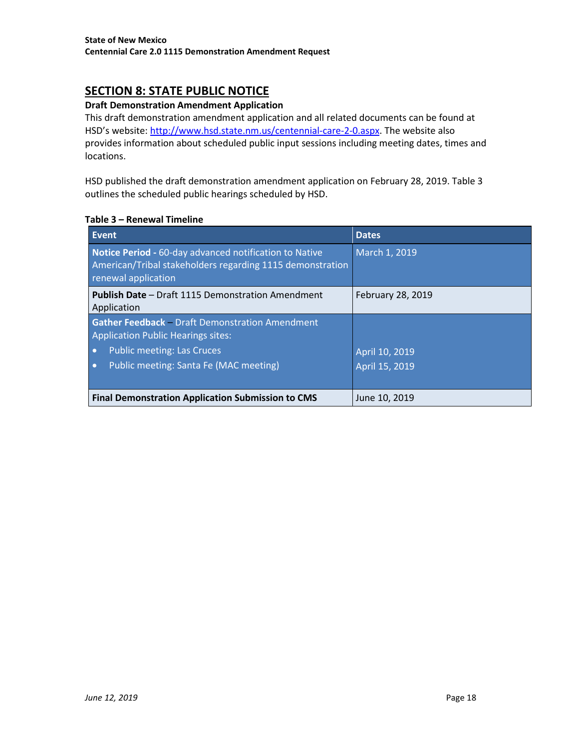# <span id="page-17-0"></span>**SECTION 8: STATE PUBLIC NOTICE**

### **Draft Demonstration Amendment Application**

This draft demonstration amendment application and all related documents can be found at HSD's website: [http://www.hsd.state.nm.us/centennial-care-2-0.aspx.](http://www.hsd.state.nm.us/centennial-care-2-0.aspx) The website also provides information about scheduled public input sessions including meeting dates, times and locations.

HSD published the draft demonstration amendment application on February 28, 2019. Table 3 outlines the scheduled public hearings scheduled by HSD.

#### **Table 3 – Renewal Timeline**

| Event                                                                                                                                                                       | <b>Dates</b>                     |
|-----------------------------------------------------------------------------------------------------------------------------------------------------------------------------|----------------------------------|
| Notice Period - 60-day advanced notification to Native<br>American/Tribal stakeholders regarding 1115 demonstration<br>renewal application                                  | March 1, 2019                    |
| <b>Publish Date - Draft 1115 Demonstration Amendment</b><br>Application                                                                                                     | February 28, 2019                |
| <b>Gather Feedback</b> - Draft Demonstration Amendment<br>Application Public Hearings sites:<br><b>Public meeting: Las Cruces</b><br>Public meeting: Santa Fe (MAC meeting) | April 10, 2019<br>April 15, 2019 |
| <b>Final Demonstration Application Submission to CMS</b>                                                                                                                    | June 10, 2019                    |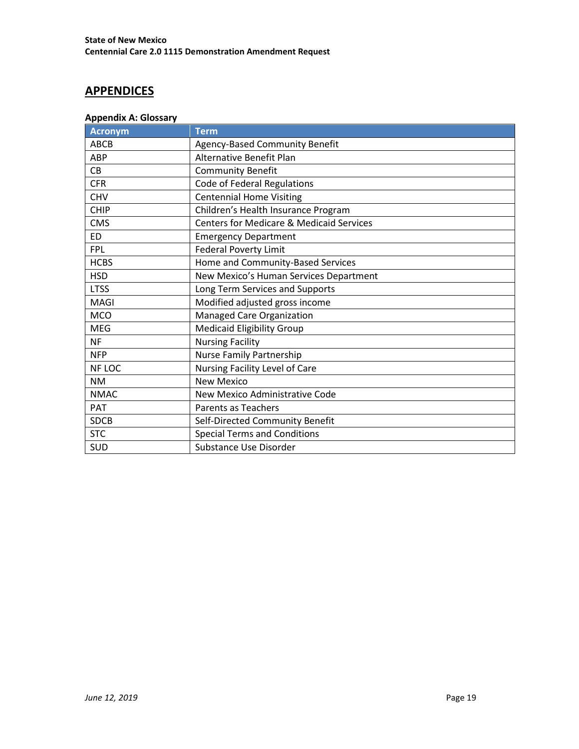# <span id="page-18-0"></span>**APPENDICES**

### <span id="page-18-1"></span>**Appendix A: Glossary**

| Acronym     | <b>Term</b>                                         |
|-------------|-----------------------------------------------------|
| <b>ABCB</b> | Agency-Based Community Benefit                      |
| ABP         | Alternative Benefit Plan                            |
| CB          | <b>Community Benefit</b>                            |
| <b>CFR</b>  | Code of Federal Regulations                         |
| <b>CHV</b>  | <b>Centennial Home Visiting</b>                     |
| <b>CHIP</b> | Children's Health Insurance Program                 |
| <b>CMS</b>  | <b>Centers for Medicare &amp; Medicaid Services</b> |
| <b>ED</b>   | <b>Emergency Department</b>                         |
| <b>FPL</b>  | <b>Federal Poverty Limit</b>                        |
| <b>HCBS</b> | Home and Community-Based Services                   |
| <b>HSD</b>  | New Mexico's Human Services Department              |
| <b>LTSS</b> | Long Term Services and Supports                     |
| MAGI        | Modified adjusted gross income                      |
| <b>MCO</b>  | Managed Care Organization                           |
| <b>MEG</b>  | <b>Medicaid Eligibility Group</b>                   |
| <b>NF</b>   | <b>Nursing Facility</b>                             |
| <b>NFP</b>  | Nurse Family Partnership                            |
| NF LOC      | Nursing Facility Level of Care                      |
| <b>NM</b>   | <b>New Mexico</b>                                   |
| <b>NMAC</b> | New Mexico Administrative Code                      |
| <b>PAT</b>  | <b>Parents as Teachers</b>                          |
| <b>SDCB</b> | Self-Directed Community Benefit                     |
| <b>STC</b>  | <b>Special Terms and Conditions</b>                 |
| <b>SUD</b>  | Substance Use Disorder                              |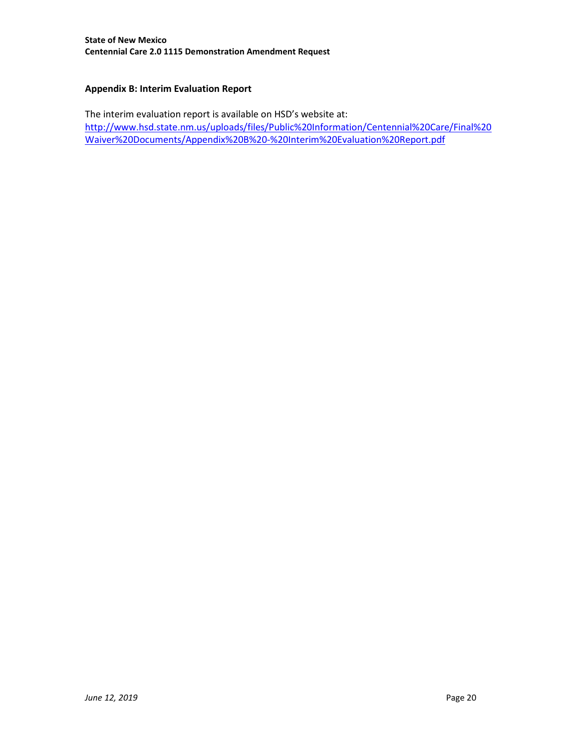### <span id="page-19-0"></span>**Appendix B: Interim Evaluation Report**

The interim evaluation report is available on HSD's website at: [http://www.hsd.state.nm.us/uploads/files/Public%20Information/Centennial%20Care/Final%20](http://www.hsd.state.nm.us/uploads/files/Public%20Information/Centennial%20Care/Final%20Waiver%20Documents/Appendix%20B%20-%20Interim%20Evaluation%20Report.pdf) [Waiver%20Documents/Appendix%20B%20-%20Interim%20Evaluation%20Report.pdf](http://www.hsd.state.nm.us/uploads/files/Public%20Information/Centennial%20Care/Final%20Waiver%20Documents/Appendix%20B%20-%20Interim%20Evaluation%20Report.pdf)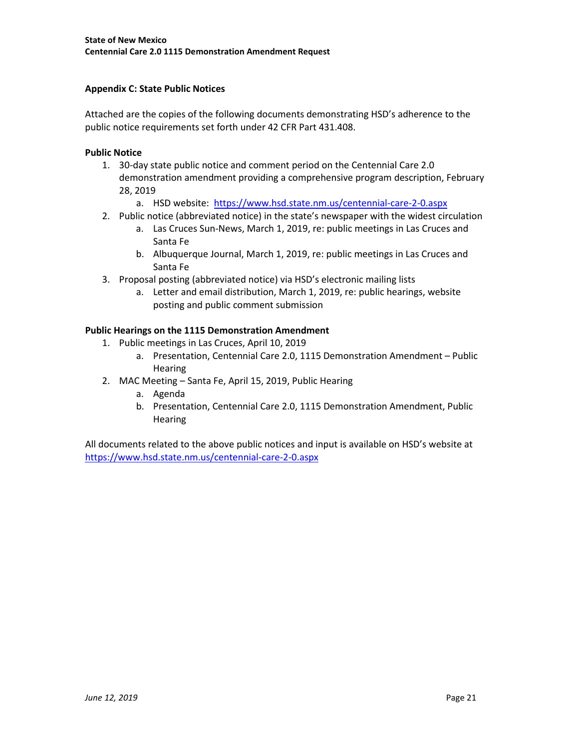### <span id="page-20-0"></span>**Appendix C: State Public Notices**

Attached are the copies of the following documents demonstrating HSD's adherence to the public notice requirements set forth under 42 CFR Part 431.408.

### **Public Notice**

- 1. 30-day state public notice and comment period on the Centennial Care 2.0 demonstration amendment providing a comprehensive program description, February 28, 2019
	- a. HSD website: <https://www.hsd.state.nm.us/centennial-care-2-0.aspx>
- 2. Public notice (abbreviated notice) in the state's newspaper with the widest circulation
	- a. Las Cruces Sun-News, March 1, 2019, re: public meetings in Las Cruces and Santa Fe
	- b. Albuquerque Journal, March 1, 2019, re: public meetings in Las Cruces and Santa Fe
- 3. Proposal posting (abbreviated notice) via HSD's electronic mailing lists
	- a. Letter and email distribution, March 1, 2019, re: public hearings, website posting and public comment submission

### **Public Hearings on the 1115 Demonstration Amendment**

- 1. Public meetings in Las Cruces, April 10, 2019
	- a. Presentation, Centennial Care 2.0, 1115 Demonstration Amendment Public **Hearing**
- 2. MAC Meeting Santa Fe, April 15, 2019, Public Hearing
	- a. Agenda
	- b. Presentation, Centennial Care 2.0, 1115 Demonstration Amendment, Public **Hearing**

All documents related to the above public notices and input is available on HSD's website at <https://www.hsd.state.nm.us/centennial-care-2-0.aspx>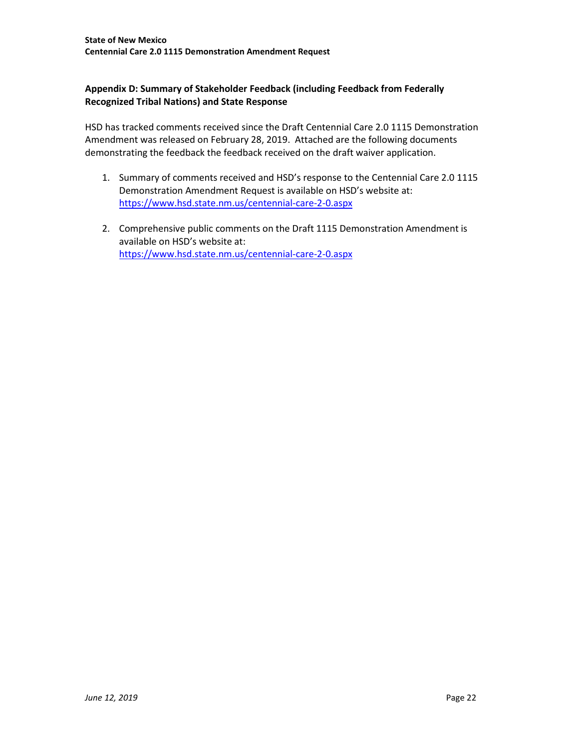## <span id="page-21-0"></span>**Appendix D: Summary of Stakeholder Feedback (including Feedback from Federally Recognized Tribal Nations) and State Response**

HSD has tracked comments received since the Draft Centennial Care 2.0 1115 Demonstration Amendment was released on February 28, 2019. Attached are the following documents demonstrating the feedback the feedback received on the draft waiver application.

- 1. Summary of comments received and HSD's response to the Centennial Care 2.0 1115 Demonstration Amendment Request is available on HSD's website at: <https://www.hsd.state.nm.us/centennial-care-2-0.aspx>
- 2. Comprehensive public comments on the Draft 1115 Demonstration Amendment is available on HSD's website at: <https://www.hsd.state.nm.us/centennial-care-2-0.aspx>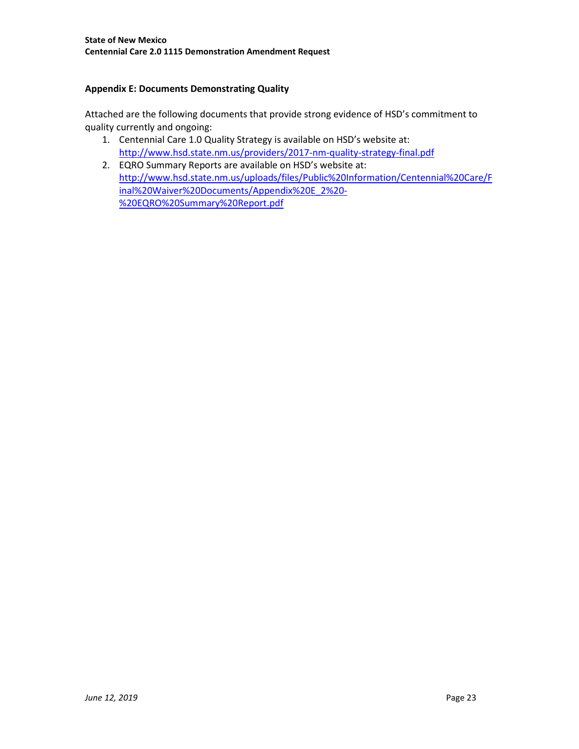## <span id="page-22-0"></span>**Appendix E: Documents Demonstrating Quality**

Attached are the following documents that provide strong evidence of HSD's commitment to quality currently and ongoing:

- 1. Centennial Care 1.0 Quality Strategy is available on HSD's website at: <http://www.hsd.state.nm.us/providers/2017-nm-quality-strategy-final.pdf>
- 2. EQRO Summary Reports are available on HSD's website at: [http://www.hsd.state.nm.us/uploads/files/Public%20Information/Centennial%20Care/F](http://www.hsd.state.nm.us/uploads/files/Public%20Information/Centennial%20Care/Final%20Waiver%20Documents/Appendix%20E_2%20-%20EQRO%20Summary%20Report.pdf) [inal%20Waiver%20Documents/Appendix%20E\\_2%20-](http://www.hsd.state.nm.us/uploads/files/Public%20Information/Centennial%20Care/Final%20Waiver%20Documents/Appendix%20E_2%20-%20EQRO%20Summary%20Report.pdf) [%20EQRO%20Summary%20Report.pdf](http://www.hsd.state.nm.us/uploads/files/Public%20Information/Centennial%20Care/Final%20Waiver%20Documents/Appendix%20E_2%20-%20EQRO%20Summary%20Report.pdf)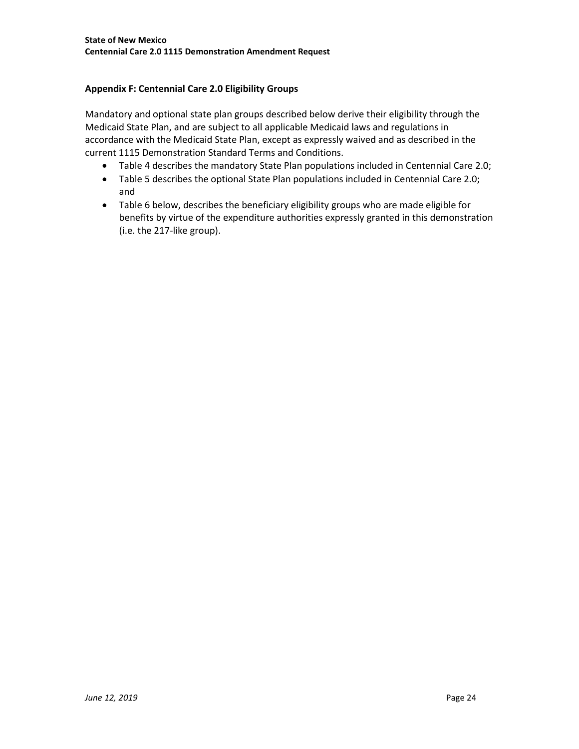# <span id="page-23-0"></span>**Appendix F: Centennial Care 2.0 Eligibility Groups**

Mandatory and optional state plan groups described below derive their eligibility through the Medicaid State Plan, and are subject to all applicable Medicaid laws and regulations in accordance with the Medicaid State Plan, except as expressly waived and as described in the current 1115 Demonstration Standard Terms and Conditions.

- Table 4 describes the mandatory State Plan populations included in Centennial Care 2.0;
- Table 5 describes the optional State Plan populations included in Centennial Care 2.0; and
- Table 6 below, describes the beneficiary eligibility groups who are made eligible for benefits by virtue of the expenditure authorities expressly granted in this demonstration (i.e. the 217-like group).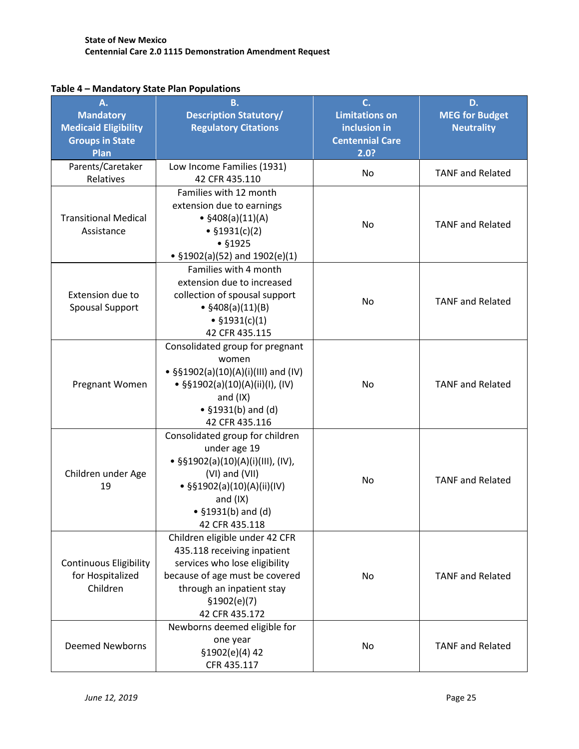| A.<br><b>Mandatory</b><br><b>Medicaid Eligibility</b><br><b>Groups in State</b><br>Plan | <b>B.</b><br><b>Description Statutory/</b><br><b>Regulatory Citations</b>                                                                                                                       | C.<br><b>Limitations on</b><br>inclusion in<br><b>Centennial Care</b><br>2.0? | D.<br><b>MEG for Budget</b><br><b>Neutrality</b> |
|-----------------------------------------------------------------------------------------|-------------------------------------------------------------------------------------------------------------------------------------------------------------------------------------------------|-------------------------------------------------------------------------------|--------------------------------------------------|
| Parents/Caretaker<br>Relatives                                                          | Low Income Families (1931)<br>42 CFR 435.110                                                                                                                                                    | No                                                                            | <b>TANF and Related</b>                          |
| <b>Transitional Medical</b><br>Assistance                                               | Families with 12 month<br>extension due to earnings<br>• $$408(a)(11)(A)$<br>No<br>• $$1931(c)(2)$<br>• \$1925<br>• $$1902(a)(52)$ and $1902(e)(1)$                                             |                                                                               | <b>TANF and Related</b>                          |
| Extension due to<br><b>Spousal Support</b>                                              | Families with 4 month<br>extension due to increased<br>collection of spousal support<br>• $$408(a)(11)(B)$<br>• $$1931(c)(1)$<br>42 CFR 435.115                                                 | No                                                                            | <b>TANF and Related</b>                          |
| Pregnant Women                                                                          | Consolidated group for pregnant<br>women<br>• §§1902(a)(10)(A)(i)(III) and (IV)<br>• §§1902(a)(10)(A)(ii)(I), (IV)<br>and $(IX)$<br>• $$1931(b)$ and (d)<br>42 CFR 435.116                      | No                                                                            | <b>TANF and Related</b>                          |
| Children under Age<br>19                                                                | Consolidated group for children<br>under age 19<br>• §§1902(a)(10)(A)(i)(III), (IV),<br>(VI) and (VII)<br>• §§1902(a)(10)(A)(ii)(IV)<br>and $(IX)$<br>• $$1931(b)$ and (d)<br>42 CFR 435.118    | No                                                                            | <b>TANF and Related</b>                          |
| <b>Continuous Eligibility</b><br>for Hospitalized<br>Children                           | Children eligible under 42 CFR<br>435.118 receiving inpatient<br>services who lose eligibility<br>because of age must be covered<br>through an inpatient stay<br>\$1902(e)(7)<br>42 CFR 435.172 | No.                                                                           | <b>TANF and Related</b>                          |
| <b>Deemed Newborns</b>                                                                  | Newborns deemed eligible for<br>one year<br>§1902(e)(4) 42<br>CFR 435.117                                                                                                                       | No                                                                            | <b>TANF and Related</b>                          |

## **Table 4 – Mandatory State Plan Populations**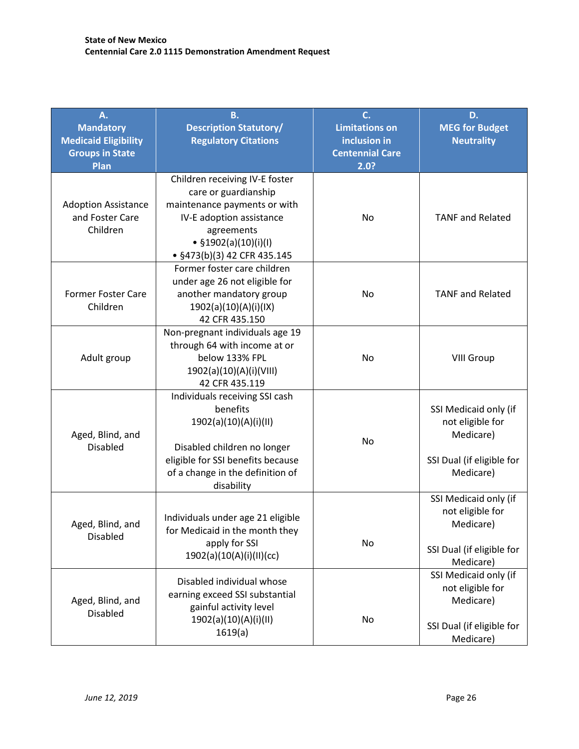| Α.<br><b>Mandatory</b><br><b>Medicaid Eligibility</b><br><b>Groups in State</b><br>Plan | <b>B.</b><br><b>Description Statutory/</b><br><b>Regulatory Citations</b>                                                                                                                 | C.<br><b>Limitations on</b><br>inclusion in<br><b>Centennial Care</b><br>2.0? | D.<br><b>MEG for Budget</b><br><b>Neutrality</b>                                                 |
|-----------------------------------------------------------------------------------------|-------------------------------------------------------------------------------------------------------------------------------------------------------------------------------------------|-------------------------------------------------------------------------------|--------------------------------------------------------------------------------------------------|
| <b>Adoption Assistance</b><br>and Foster Care<br>Children                               | Children receiving IV-E foster<br>care or guardianship<br>maintenance payments or with<br>IV-E adoption assistance<br>agreements<br>• $$1902(a)(10)(i)(1)$<br>• §473(b)(3) 42 CFR 435.145 | No                                                                            | <b>TANF and Related</b>                                                                          |
| <b>Former Foster Care</b><br>Children                                                   | Former foster care children<br>under age 26 not eligible for<br>another mandatory group<br>1902(a)(10)(A)(i)(IX)<br>42 CFR 435.150                                                        | No                                                                            | <b>TANF and Related</b>                                                                          |
| Adult group                                                                             | Non-pregnant individuals age 19<br>through 64 with income at or<br>below 133% FPL<br>1902(a)(10)(A)(i)(VIII)<br>42 CFR 435.119                                                            | No                                                                            | <b>VIII Group</b>                                                                                |
| Aged, Blind, and<br><b>Disabled</b>                                                     | Individuals receiving SSI cash<br>benefits<br>1902(a)(10)(A)(i)(II)<br>Disabled children no longer<br>eligible for SSI benefits because<br>of a change in the definition of<br>disability | No                                                                            | SSI Medicaid only (if<br>not eligible for<br>Medicare)<br>SSI Dual (if eligible for<br>Medicare) |
| Aged, Blind, and<br>Disabled                                                            | Individuals under age 21 eligible<br>for Medicaid in the month they<br>apply for SSI<br>1902(a)(10(A)(i)(II)(cc)                                                                          | <b>No</b>                                                                     | SSI Medicaid only (if<br>not eligible for<br>Medicare)<br>SSI Dual (if eligible for<br>Medicare) |
| Aged, Blind, and<br><b>Disabled</b>                                                     | Disabled individual whose<br>earning exceed SSI substantial<br>gainful activity level<br>1902(a)(10)(A)(i)(II)<br>1619(a)                                                                 | No                                                                            | SSI Medicaid only (if<br>not eligible for<br>Medicare)<br>SSI Dual (if eligible for<br>Medicare) |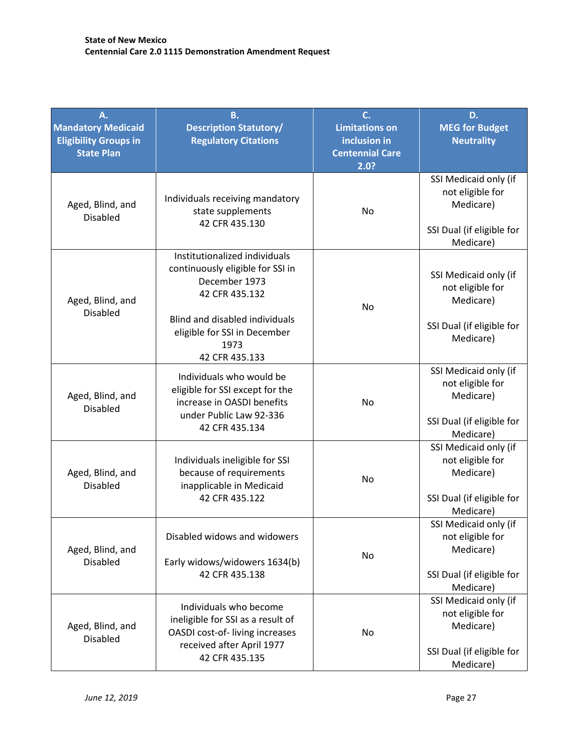| A.<br><b>Mandatory Medicaid</b><br><b>Eligibility Groups in</b><br><b>State Plan</b> | <b>B.</b><br><b>Description Statutory/</b><br><b>Regulatory Citations</b>                                                                                                                                     | C.<br><b>Limitations on</b><br>inclusion in<br><b>Centennial Care</b><br>2.0? | D.<br><b>MEG for Budget</b><br><b>Neutrality</b>                                                 |
|--------------------------------------------------------------------------------------|---------------------------------------------------------------------------------------------------------------------------------------------------------------------------------------------------------------|-------------------------------------------------------------------------------|--------------------------------------------------------------------------------------------------|
| Aged, Blind, and<br><b>Disabled</b>                                                  | Individuals receiving mandatory<br>state supplements<br>No<br>42 CFR 435.130                                                                                                                                  |                                                                               | SSI Medicaid only (if<br>not eligible for<br>Medicare)<br>SSI Dual (if eligible for<br>Medicare) |
| Aged, Blind, and<br><b>Disabled</b>                                                  | Institutionalized individuals<br>continuously eligible for SSI in<br>December 1973<br>42 CFR 435.132<br>No<br><b>Blind and disabled individuals</b><br>eligible for SSI in December<br>1973<br>42 CFR 435.133 |                                                                               | SSI Medicaid only (if<br>not eligible for<br>Medicare)<br>SSI Dual (if eligible for<br>Medicare) |
| Aged, Blind, and<br><b>Disabled</b>                                                  | Individuals who would be<br>eligible for SSI except for the<br>increase in OASDI benefits<br>under Public Law 92-336<br>42 CFR 435.134                                                                        | No                                                                            | SSI Medicaid only (if<br>not eligible for<br>Medicare)<br>SSI Dual (if eligible for<br>Medicare) |
| Aged, Blind, and<br><b>Disabled</b>                                                  | Individuals ineligible for SSI<br>because of requirements<br>inapplicable in Medicaid<br>42 CFR 435.122                                                                                                       | <b>No</b>                                                                     | SSI Medicaid only (if<br>not eligible for<br>Medicare)<br>SSI Dual (if eligible for<br>Medicare) |
| Aged, Blind, and<br><b>Disabled</b>                                                  | Disabled widows and widowers<br>Early widows/widowers 1634(b)<br>42 CFR 435.138                                                                                                                               | No                                                                            | SSI Medicaid only (if<br>not eligible for<br>Medicare)<br>SSI Dual (if eligible for<br>Medicare) |
| Aged, Blind, and<br><b>Disabled</b>                                                  | Individuals who become<br>ineligible for SSI as a result of<br>OASDI cost-of- living increases<br>received after April 1977<br>42 CFR 435.135                                                                 | No                                                                            | SSI Medicaid only (if<br>not eligible for<br>Medicare)<br>SSI Dual (if eligible for<br>Medicare) |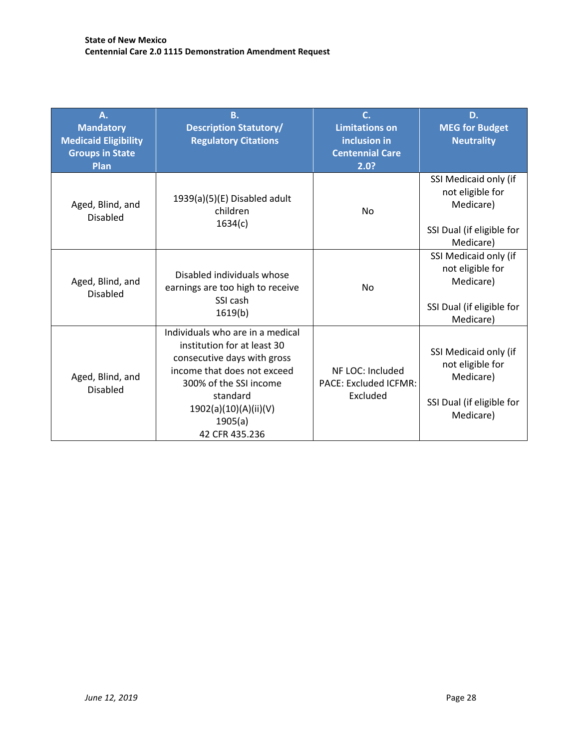| Α.<br><b>Mandatory</b><br><b>Medicaid Eligibility</b><br><b>Groups in State</b><br>Plan | <b>B.</b><br><b>Description Statutory/</b><br><b>Regulatory Citations</b>                                                                                                                                                 | $\overline{C}$ .<br><b>Limitations on</b><br>inclusion in<br><b>Centennial Care</b><br>2.0? | D.<br><b>MEG for Budget</b><br><b>Neutrality</b>                                                 |
|-----------------------------------------------------------------------------------------|---------------------------------------------------------------------------------------------------------------------------------------------------------------------------------------------------------------------------|---------------------------------------------------------------------------------------------|--------------------------------------------------------------------------------------------------|
| Aged, Blind, and<br><b>Disabled</b>                                                     | 1939(a)(5)(E) Disabled adult<br>children<br>1634(c)                                                                                                                                                                       | <b>No</b>                                                                                   | SSI Medicaid only (if<br>not eligible for<br>Medicare)<br>SSI Dual (if eligible for<br>Medicare) |
| Aged, Blind, and<br><b>Disabled</b>                                                     | Disabled individuals whose<br>earnings are too high to receive<br>SSI cash<br>1619(b)                                                                                                                                     | <b>No</b>                                                                                   | SSI Medicaid only (if<br>not eligible for<br>Medicare)<br>SSI Dual (if eligible for<br>Medicare) |
| Aged, Blind, and<br><b>Disabled</b>                                                     | Individuals who are in a medical<br>institution for at least 30<br>consecutive days with gross<br>income that does not exceed<br>300% of the SSI income<br>standard<br>1902(a)(10)(A)(ii)(V)<br>1905(a)<br>42 CFR 435.236 | NF LOC: Included<br>PACE: Excluded ICFMR:<br>Excluded                                       | SSI Medicaid only (if<br>not eligible for<br>Medicare)<br>SSI Dual (if eligible for<br>Medicare) |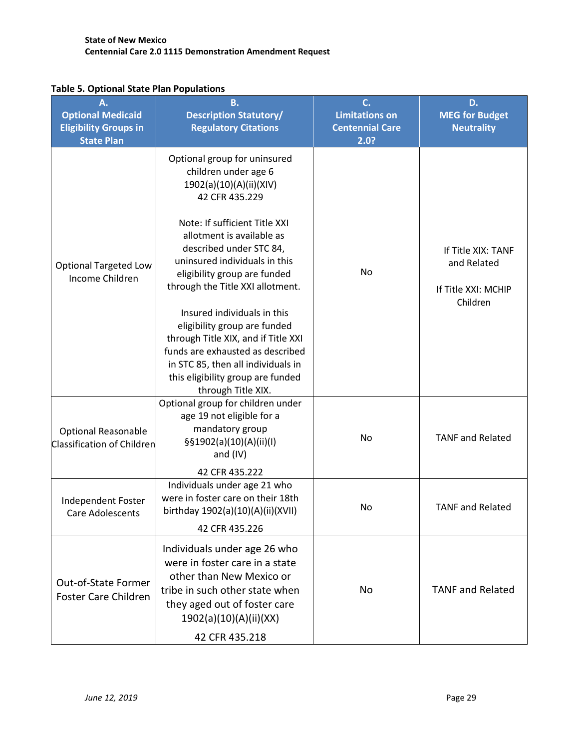| А.<br><b>Optional Medicaid</b><br><b>Eligibility Groups in</b><br><b>State Plan</b> | <b>B.</b><br><b>Description Statutory/</b><br><b>Regulatory Citations</b>                                                                                                                                                                                                                                                                                                                                                                                                                                                                  | C.<br><b>Limitations on</b><br><b>Centennial Care</b><br>2.0? | D.<br><b>MEG for Budget</b><br><b>Neutrality</b>                     |
|-------------------------------------------------------------------------------------|--------------------------------------------------------------------------------------------------------------------------------------------------------------------------------------------------------------------------------------------------------------------------------------------------------------------------------------------------------------------------------------------------------------------------------------------------------------------------------------------------------------------------------------------|---------------------------------------------------------------|----------------------------------------------------------------------|
| <b>Optional Targeted Low</b><br>Income Children                                     | Optional group for uninsured<br>children under age 6<br>1902(a)(10)(A)(ii)(XIV)<br>42 CFR 435.229<br>Note: If sufficient Title XXI<br>allotment is available as<br>described under STC 84,<br>uninsured individuals in this<br>eligibility group are funded<br>through the Title XXI allotment.<br>Insured individuals in this<br>eligibility group are funded<br>through Title XIX, and if Title XXI<br>funds are exhausted as described<br>in STC 85, then all individuals in<br>this eligibility group are funded<br>through Title XIX. | No                                                            | If Title XIX: TANF<br>and Related<br>If Title XXI: MCHIP<br>Children |
| <b>Optional Reasonable</b><br>Classification of Children                            | Optional group for children under<br>age 19 not eligible for a<br>mandatory group<br>§§1902(a)(10)(A)(ii)(l)<br>and $(IV)$<br>42 CFR 435.222                                                                                                                                                                                                                                                                                                                                                                                               | No                                                            | <b>TANF and Related</b>                                              |
| Independent Foster<br><b>Care Adolescents</b>                                       | Individuals under age 21 who<br>were in foster care on their 18th<br>birthday 1902(a)(10)(A)(ii)(XVII)<br>42 CFR 435.226                                                                                                                                                                                                                                                                                                                                                                                                                   | No                                                            | <b>TANF and Related</b>                                              |
| Out-of-State Former<br><b>Foster Care Children</b>                                  | Individuals under age 26 who<br>were in foster care in a state<br>other than New Mexico or<br>tribe in such other state when<br>they aged out of foster care<br>1902(a)(10)(A)(ii)(XX)<br>42 CFR 435.218                                                                                                                                                                                                                                                                                                                                   | No                                                            | <b>TANF and Related</b>                                              |

# **Table 5. Optional State Plan Populations**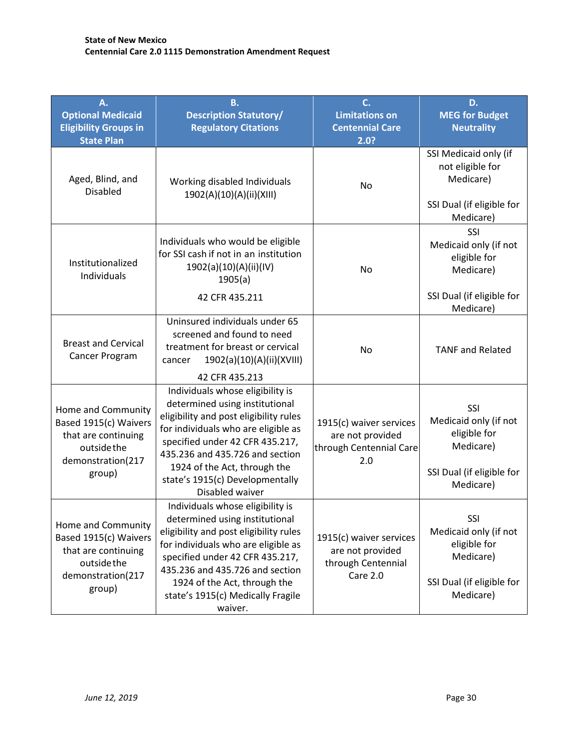| A.<br><b>Optional Medicaid</b>                                                                                   | <b>B.</b><br><b>Description Statutory/</b>                                                                                                                                                                                                                                                                                        | C.<br><b>Limitations on</b>                                                   | D.<br><b>MEG for Budget</b>                                                                                |
|------------------------------------------------------------------------------------------------------------------|-----------------------------------------------------------------------------------------------------------------------------------------------------------------------------------------------------------------------------------------------------------------------------------------------------------------------------------|-------------------------------------------------------------------------------|------------------------------------------------------------------------------------------------------------|
| <b>Eligibility Groups in</b><br><b>State Plan</b>                                                                | <b>Regulatory Citations</b>                                                                                                                                                                                                                                                                                                       | <b>Centennial Care</b><br>2.0?                                                | <b>Neutrality</b>                                                                                          |
| Aged, Blind, and<br><b>Disabled</b>                                                                              | Working disabled Individuals<br>1902(A)(10)(A)(ii)(XIII)                                                                                                                                                                                                                                                                          | No                                                                            | SSI Medicaid only (if<br>not eligible for<br>Medicare)<br>SSI Dual (if eligible for<br>Medicare)           |
| Institutionalized<br>Individuals                                                                                 | Individuals who would be eligible<br>for SSI cash if not in an institution<br>1902(a)(10)(A)(ii)(IV)<br>1905(a)<br>42 CFR 435.211                                                                                                                                                                                                 | No                                                                            | SSI<br>Medicaid only (if not<br>eligible for<br>Medicare)<br>SSI Dual (if eligible for                     |
|                                                                                                                  |                                                                                                                                                                                                                                                                                                                                   |                                                                               | Medicare)                                                                                                  |
| <b>Breast and Cervical</b><br>Cancer Program                                                                     | Uninsured individuals under 65<br>screened and found to need<br>treatment for breast or cervical<br>1902(a)(10)(A)(ii)(XVIII)<br>cancer                                                                                                                                                                                           | No                                                                            | <b>TANF and Related</b>                                                                                    |
| Home and Community<br>Based 1915(c) Waivers<br>that are continuing<br>outside the<br>demonstration(217<br>group) | 42 CFR 435.213<br>Individuals whose eligibility is<br>determined using institutional<br>eligibility and post eligibility rules<br>for individuals who are eligible as<br>specified under 42 CFR 435.217,<br>435.236 and 435.726 and section<br>1924 of the Act, through the<br>state's 1915(c) Developmentally<br>Disabled waiver | 1915(c) waiver services<br>are not provided<br>through Centennial Care<br>2.0 | <b>SSI</b><br>Medicaid only (if not<br>eligible for<br>Medicare)<br>SSI Dual (if eligible for<br>Medicare) |
| Home and Community<br>Based 1915(c) Waivers<br>that are continuing<br>outside the<br>demonstration(217<br>group) | Individuals whose eligibility is<br>determined using institutional<br>eligibility and post eligibility rules<br>for individuals who are eligible as<br>specified under 42 CFR 435.217,<br>435.236 and 435.726 and section<br>1924 of the Act, through the<br>state's 1915(c) Medically Fragile<br>waiver.                         | 1915(c) waiver services<br>are not provided<br>through Centennial<br>Care 2.0 | SSI<br>Medicaid only (if not<br>eligible for<br>Medicare)<br>SSI Dual (if eligible for<br>Medicare)        |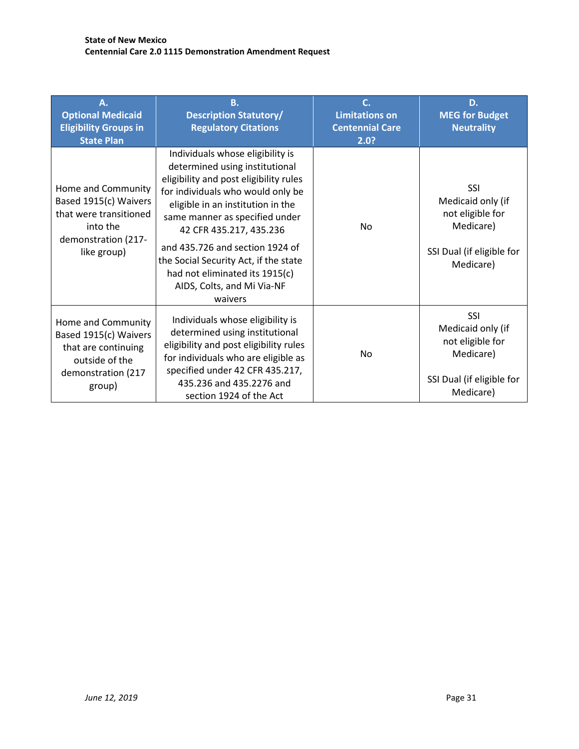| А.<br><b>Optional Medicaid</b><br><b>Eligibility Groups in</b><br><b>State Plan</b>                                     | В.<br><b>Description Statutory/</b><br><b>Regulatory Citations</b>                                                                                                                                                                                                                                                                                                                                         | C.<br><b>Limitations on</b><br><b>Centennial Care</b><br>2.0? | D.<br><b>MEG for Budget</b><br><b>Neutrality</b>                                                    |
|-------------------------------------------------------------------------------------------------------------------------|------------------------------------------------------------------------------------------------------------------------------------------------------------------------------------------------------------------------------------------------------------------------------------------------------------------------------------------------------------------------------------------------------------|---------------------------------------------------------------|-----------------------------------------------------------------------------------------------------|
| Home and Community<br>Based 1915(c) Waivers<br>that were transitioned<br>into the<br>demonstration (217-<br>like group) | Individuals whose eligibility is<br>determined using institutional<br>eligibility and post eligibility rules<br>for individuals who would only be<br>eligible in an institution in the<br>same manner as specified under<br>42 CFR 435.217, 435.236<br>and 435.726 and section 1924 of<br>the Social Security Act, if the state<br>had not eliminated its 1915(c)<br>AIDS, Colts, and Mi Via-NF<br>waivers | <b>No</b>                                                     | SSI<br>Medicaid only (if<br>not eligible for<br>Medicare)<br>SSI Dual (if eligible for<br>Medicare) |
| Home and Community<br>Based 1915(c) Waivers<br>that are continuing<br>outside of the<br>demonstration (217<br>group)    | Individuals whose eligibility is<br>determined using institutional<br>eligibility and post eligibility rules<br>for individuals who are eligible as<br>specified under 42 CFR 435.217,<br>435.236 and 435.2276 and<br>section 1924 of the Act                                                                                                                                                              | No.                                                           | SSI<br>Medicaid only (if<br>not eligible for<br>Medicare)<br>SSI Dual (if eligible for<br>Medicare) |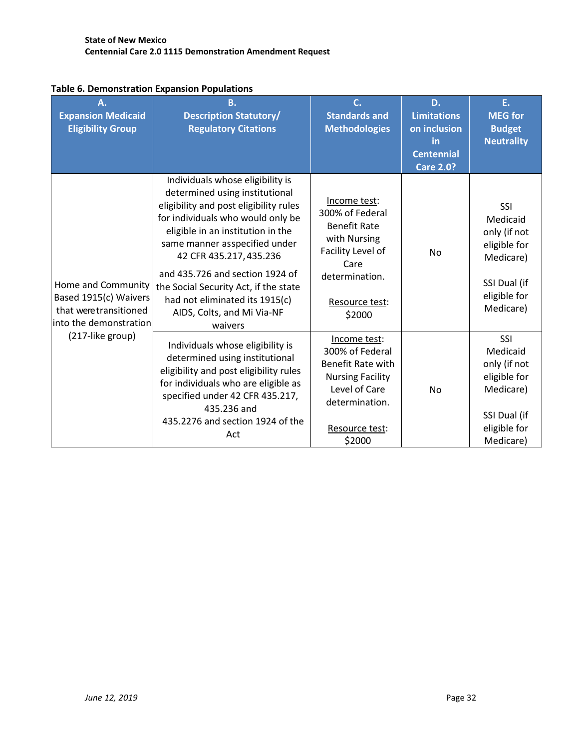| A.<br><b>Expansion Medicaid</b><br><b>Eligibility Group</b>                                     | <b>B.</b><br><b>Description Statutory/</b><br><b>Regulatory Citations</b>                                                                                                                                                                                                                                                                                                                                 | C.<br><b>Standards and</b><br><b>Methodologies</b>                                                                                                    | D.<br><b>Limitations</b><br>on inclusion<br>in<br><b>Centennial</b><br>Care 2.0? | E.<br><b>MEG for</b><br><b>Budget</b><br><b>Neutrality</b>                                                |
|-------------------------------------------------------------------------------------------------|-----------------------------------------------------------------------------------------------------------------------------------------------------------------------------------------------------------------------------------------------------------------------------------------------------------------------------------------------------------------------------------------------------------|-------------------------------------------------------------------------------------------------------------------------------------------------------|----------------------------------------------------------------------------------|-----------------------------------------------------------------------------------------------------------|
| Home and Community<br>Based 1915(c) Waivers<br>that were transitioned<br>into the demonstration | Individuals whose eligibility is<br>determined using institutional<br>eligibility and post eligibility rules<br>for individuals who would only be<br>eligible in an institution in the<br>same manner asspecified under<br>42 CFR 435.217, 435.236<br>and 435.726 and section 1924 of<br>the Social Security Act, if the state<br>had not eliminated its 1915(c)<br>AIDS, Colts, and Mi Via-NF<br>waivers | Income test:<br>300% of Federal<br><b>Benefit Rate</b><br>with Nursing<br>Facility Level of<br>Care<br>determination.<br>Resource test:<br>\$2000     | <b>No</b>                                                                        | SSI<br>Medicaid<br>only (if not<br>eligible for<br>Medicare)<br>SSI Dual (if<br>eligible for<br>Medicare) |
| (217-like group)                                                                                | Individuals whose eligibility is<br>determined using institutional<br>eligibility and post eligibility rules<br>for individuals who are eligible as<br>specified under 42 CFR 435.217,<br>435.236 and<br>435.2276 and section 1924 of the<br>Act                                                                                                                                                          | Income test:<br>300% of Federal<br><b>Benefit Rate with</b><br><b>Nursing Facility</b><br>Level of Care<br>determination.<br>Resource test:<br>\$2000 | No                                                                               | SSI<br>Medicaid<br>only (if not<br>eligible for<br>Medicare)<br>SSI Dual (if<br>eligible for<br>Medicare) |

### **Table 6. Demonstration Expansion Populations**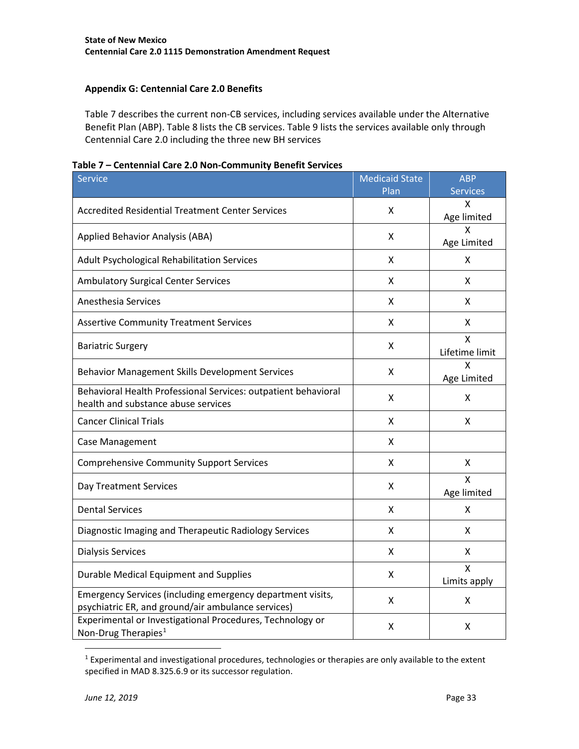### <span id="page-32-0"></span>**Appendix G: Centennial Care 2.0 Benefits**

Table 7 describes the current non-CB services, including services available under the Alternative Benefit Plan (ABP). Table 8 lists the CB services. Table 9 lists the services available only through Centennial Care 2.0 including the three new BH services

|  |  |  | Table 7 – Centennial Care 2.0 Non-Community Benefit Services |  |
|--|--|--|--------------------------------------------------------------|--|
|--|--|--|--------------------------------------------------------------|--|

| <b>Service</b>                                                                                                   | <b>Medicaid State</b> | <b>ABP</b>          |
|------------------------------------------------------------------------------------------------------------------|-----------------------|---------------------|
|                                                                                                                  | Plan                  | <b>Services</b>     |
| Accredited Residential Treatment Center Services                                                                 | x                     | x<br>Age limited    |
| Applied Behavior Analysis (ABA)                                                                                  | X                     | x<br>Age Limited    |
| Adult Psychological Rehabilitation Services                                                                      | X                     | X                   |
| <b>Ambulatory Surgical Center Services</b>                                                                       | X                     | X                   |
| <b>Anesthesia Services</b>                                                                                       | x                     | x                   |
| <b>Assertive Community Treatment Services</b>                                                                    | X                     | x                   |
| <b>Bariatric Surgery</b>                                                                                         | X                     | x<br>Lifetime limit |
| Behavior Management Skills Development Services                                                                  | X                     | x<br>Age Limited    |
| Behavioral Health Professional Services: outpatient behavioral<br>health and substance abuse services            | Χ                     | Χ                   |
| <b>Cancer Clinical Trials</b>                                                                                    | X                     | X                   |
| Case Management                                                                                                  | x                     |                     |
| <b>Comprehensive Community Support Services</b>                                                                  | x                     | X                   |
| Day Treatment Services                                                                                           | x                     | x<br>Age limited    |
| <b>Dental Services</b>                                                                                           | x                     | x                   |
| Diagnostic Imaging and Therapeutic Radiology Services                                                            | X                     | x                   |
| <b>Dialysis Services</b>                                                                                         | x                     | X                   |
| Durable Medical Equipment and Supplies                                                                           | x                     | X<br>Limits apply   |
| Emergency Services (including emergency department visits,<br>psychiatric ER, and ground/air ambulance services) | x                     | x                   |
| Experimental or Investigational Procedures, Technology or<br>Non-Drug Therapies <sup>1</sup>                     | Χ                     | X                   |

<span id="page-32-1"></span> <sup>1</sup> Experimental and investigational procedures, technologies or therapies are only available to the extent specified in MAD 8.325.6.9 or its successor regulation.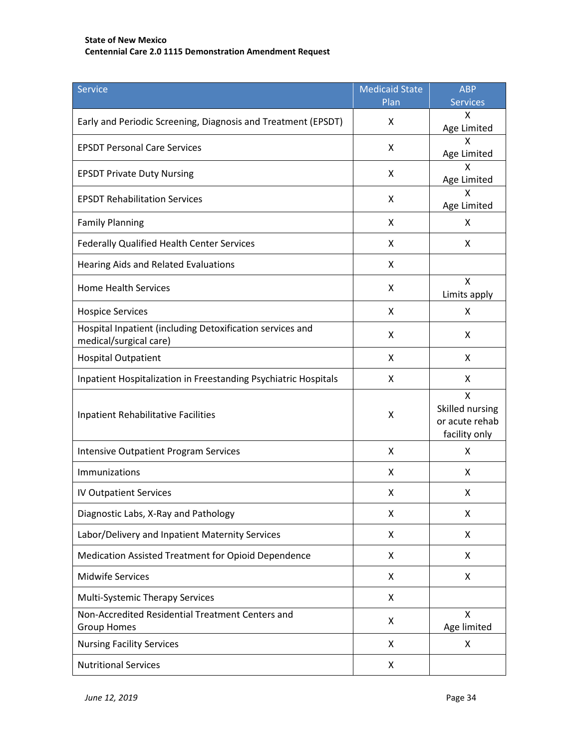| Service                                                                             | <b>Medicaid State</b> | <b>ABP</b>                                              |
|-------------------------------------------------------------------------------------|-----------------------|---------------------------------------------------------|
|                                                                                     | Plan                  | <b>Services</b>                                         |
| Early and Periodic Screening, Diagnosis and Treatment (EPSDT)                       | X                     | Χ<br>Age Limited                                        |
| <b>EPSDT Personal Care Services</b>                                                 | X                     | x<br>Age Limited                                        |
| <b>EPSDT Private Duty Nursing</b>                                                   | X                     | x<br>Age Limited                                        |
| <b>EPSDT Rehabilitation Services</b>                                                | X                     | X<br>Age Limited                                        |
| <b>Family Planning</b>                                                              | X                     | X                                                       |
| Federally Qualified Health Center Services                                          | X                     | X                                                       |
| Hearing Aids and Related Evaluations                                                | X                     |                                                         |
| <b>Home Health Services</b>                                                         | X                     | X<br>Limits apply                                       |
| <b>Hospice Services</b>                                                             | X                     | X                                                       |
| Hospital Inpatient (including Detoxification services and<br>medical/surgical care) | X                     | X                                                       |
| <b>Hospital Outpatient</b>                                                          | X                     | X                                                       |
| Inpatient Hospitalization in Freestanding Psychiatric Hospitals                     | X                     | X                                                       |
| <b>Inpatient Rehabilitative Facilities</b>                                          | X                     | X<br>Skilled nursing<br>or acute rehab<br>facility only |
| <b>Intensive Outpatient Program Services</b>                                        | X                     | X                                                       |
| Immunizations                                                                       | X                     | X                                                       |
| <b>IV Outpatient Services</b>                                                       | X                     | X                                                       |
| Diagnostic Labs, X-Ray and Pathology                                                | X                     | X                                                       |
| Labor/Delivery and Inpatient Maternity Services                                     | X                     | X                                                       |
| Medication Assisted Treatment for Opioid Dependence                                 | X                     | X                                                       |
| <b>Midwife Services</b>                                                             | X                     | X                                                       |
| Multi-Systemic Therapy Services                                                     | X                     |                                                         |
| Non-Accredited Residential Treatment Centers and<br><b>Group Homes</b>              | X                     | X<br>Age limited                                        |
| <b>Nursing Facility Services</b>                                                    | X                     | X                                                       |
| <b>Nutritional Services</b>                                                         | X                     |                                                         |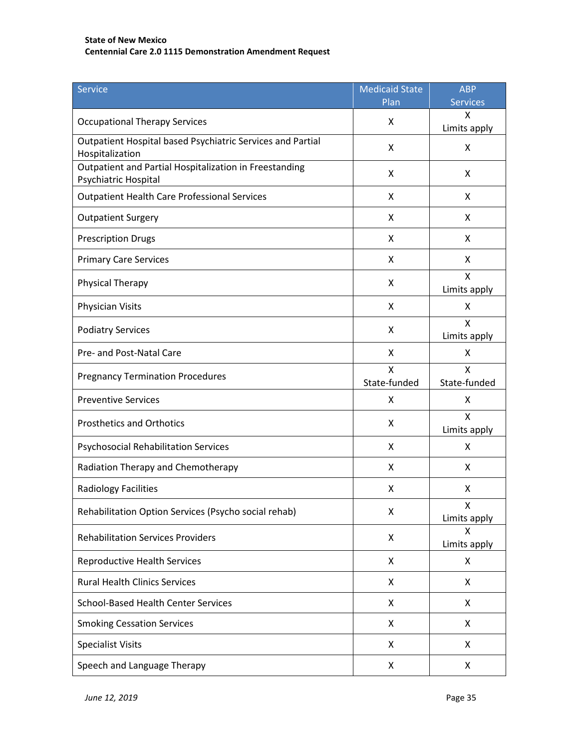| <b>Service</b>                                                                 | <b>Medicaid State</b><br>Plan | <b>ABP</b><br><b>Services</b> |
|--------------------------------------------------------------------------------|-------------------------------|-------------------------------|
|                                                                                |                               | X                             |
| <b>Occupational Therapy Services</b>                                           | X                             | Limits apply                  |
| Outpatient Hospital based Psychiatric Services and Partial<br>Hospitalization  | X                             | X                             |
| Outpatient and Partial Hospitalization in Freestanding<br>Psychiatric Hospital | X                             | X                             |
| <b>Outpatient Health Care Professional Services</b>                            | X                             | X                             |
| <b>Outpatient Surgery</b>                                                      | X                             | X                             |
| <b>Prescription Drugs</b>                                                      | X                             | X                             |
| <b>Primary Care Services</b>                                                   | X                             | X                             |
| <b>Physical Therapy</b>                                                        | X                             | X<br>Limits apply             |
| Physician Visits                                                               | X                             | X                             |
| <b>Podiatry Services</b>                                                       | X                             | X<br>Limits apply             |
| Pre- and Post-Natal Care                                                       | X                             | X                             |
| <b>Pregnancy Termination Procedures</b>                                        | X<br>State-funded             | X<br>State-funded             |
| <b>Preventive Services</b>                                                     | X                             | X                             |
| <b>Prosthetics and Orthotics</b>                                               | X                             | X<br>Limits apply             |
| <b>Psychosocial Rehabilitation Services</b>                                    | X                             | X                             |
| Radiation Therapy and Chemotherapy                                             | X                             | X                             |
| Radiology Facilities                                                           | X                             | X                             |
| Rehabilitation Option Services (Psycho social rehab)                           | Χ                             | X<br>Limits apply             |
| <b>Rehabilitation Services Providers</b>                                       | X                             | X<br>Limits apply             |
| <b>Reproductive Health Services</b>                                            | X                             | Χ                             |
| <b>Rural Health Clinics Services</b>                                           | X                             | X                             |
| <b>School-Based Health Center Services</b>                                     | X                             | X                             |
| <b>Smoking Cessation Services</b>                                              | X                             | X                             |
| <b>Specialist Visits</b>                                                       | X                             | X                             |
| Speech and Language Therapy                                                    | X                             | X                             |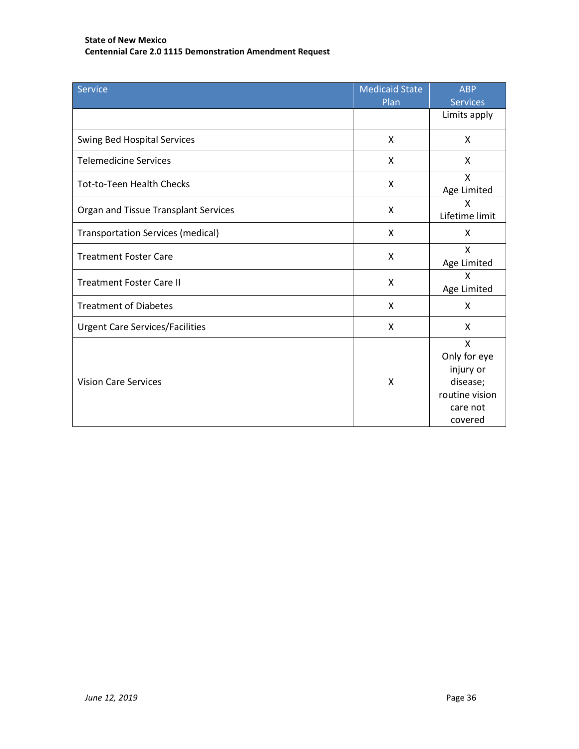| <b>Service</b>                           | <b>Medicaid State</b><br>Plan | <b>ABP</b><br><b>Services</b>                                                       |
|------------------------------------------|-------------------------------|-------------------------------------------------------------------------------------|
|                                          |                               | Limits apply                                                                        |
| <b>Swing Bed Hospital Services</b>       | X                             | X                                                                                   |
| <b>Telemedicine Services</b>             | X                             | X                                                                                   |
| <b>Tot-to-Teen Health Checks</b>         | X                             | X<br>Age Limited                                                                    |
| Organ and Tissue Transplant Services     | X                             | X<br>Lifetime limit                                                                 |
| <b>Transportation Services (medical)</b> | X                             | X                                                                                   |
| <b>Treatment Foster Care</b>             | X                             | X<br>Age Limited                                                                    |
| <b>Treatment Foster Care II</b>          | X                             | X<br>Age Limited                                                                    |
| <b>Treatment of Diabetes</b>             | X                             | X                                                                                   |
| <b>Urgent Care Services/Facilities</b>   | X                             | X                                                                                   |
| <b>Vision Care Services</b>              | $\mathsf{x}$                  | X<br>Only for eye<br>injury or<br>disease;<br>routine vision<br>care not<br>covered |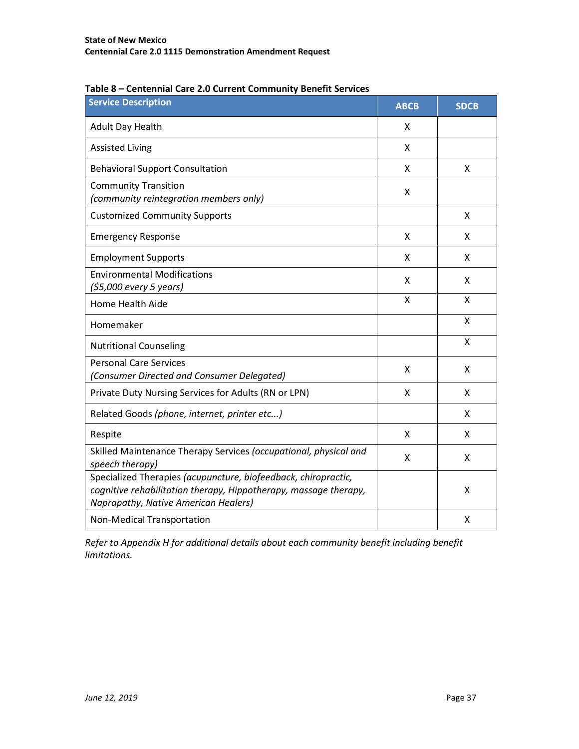| <b>Service Description</b>                                                                                                                                                 | <b>ABCB</b> | <b>SDCB</b> |
|----------------------------------------------------------------------------------------------------------------------------------------------------------------------------|-------------|-------------|
| Adult Day Health                                                                                                                                                           | X           |             |
| <b>Assisted Living</b>                                                                                                                                                     | X           |             |
| <b>Behavioral Support Consultation</b>                                                                                                                                     | X           | X           |
| <b>Community Transition</b><br>(community reintegration members only)                                                                                                      | X           |             |
| <b>Customized Community Supports</b>                                                                                                                                       |             | X           |
| <b>Emergency Response</b>                                                                                                                                                  | Χ           | X           |
| <b>Employment Supports</b>                                                                                                                                                 | X           | X           |
| <b>Environmental Modifications</b><br>(\$5,000 every 5 years)                                                                                                              | X           | X           |
| Home Health Aide                                                                                                                                                           | X           | X           |
| Homemaker                                                                                                                                                                  |             | X           |
| <b>Nutritional Counseling</b>                                                                                                                                              |             | X           |
| <b>Personal Care Services</b><br>(Consumer Directed and Consumer Delegated)                                                                                                | Χ           | X           |
| Private Duty Nursing Services for Adults (RN or LPN)                                                                                                                       | X           | X           |
| Related Goods (phone, internet, printer etc)                                                                                                                               |             | X           |
| Respite                                                                                                                                                                    | X           | X           |
| Skilled Maintenance Therapy Services (occupational, physical and<br>speech therapy)                                                                                        | X           | X           |
| Specialized Therapies (acupuncture, biofeedback, chiropractic,<br>cognitive rehabilitation therapy, Hippotherapy, massage therapy,<br>Naprapathy, Native American Healers) |             | X           |
| Non-Medical Transportation                                                                                                                                                 |             | X           |

| Table 8 - Centennial Care 2.0 Current Community Benefit Services |
|------------------------------------------------------------------|
|------------------------------------------------------------------|

*Refer to Appendix H for additional details about each community benefit including benefit limitations.*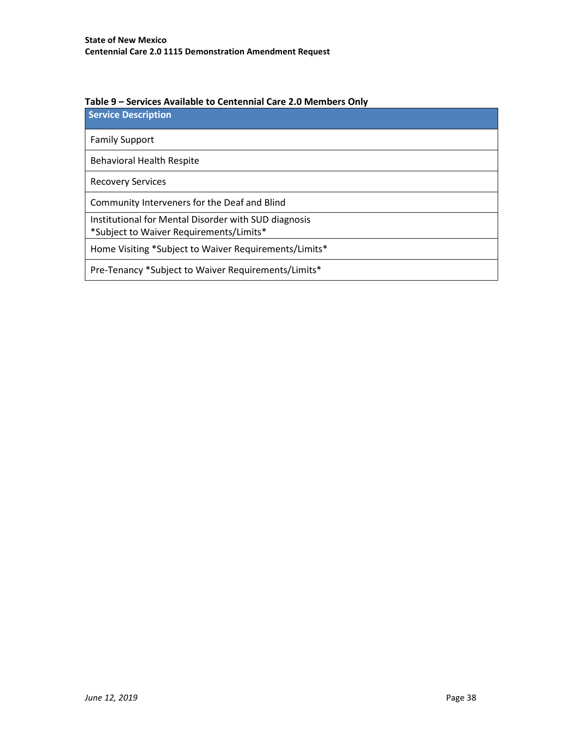| Table 9 - Services Available to Centennial Care 2.0 Members Only |  |
|------------------------------------------------------------------|--|
|------------------------------------------------------------------|--|

**Service Description**

Family Support

Behavioral Health Respite

Recovery Services

Community Interveners for the Deaf and Blind

Institutional for Mental Disorder with SUD diagnosis

\*Subject to Waiver Requirements/Limits\*

Home Visiting \*Subject to Waiver Requirements/Limits\*

Pre-Tenancy \*Subject to Waiver Requirements/Limits\*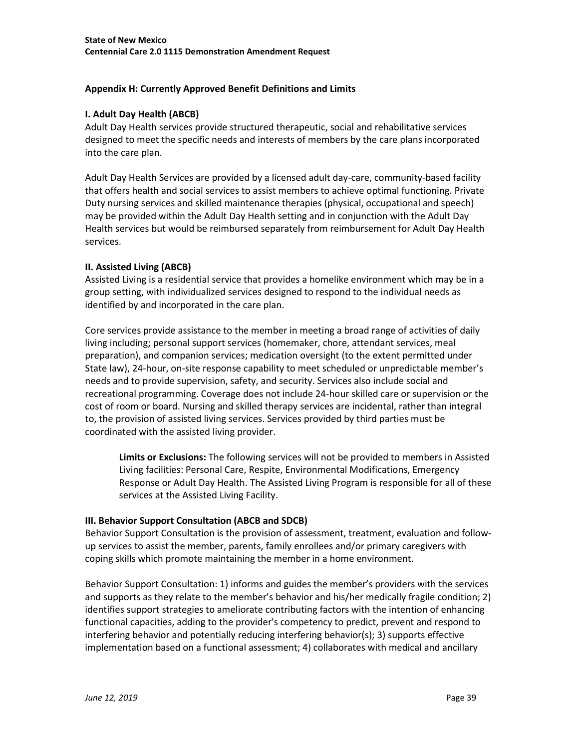### <span id="page-38-0"></span>**Appendix H: Currently Approved Benefit Definitions and Limits**

### **I. Adult Day Health (ABCB)**

Adult Day Health services provide structured therapeutic, social and rehabilitative services designed to meet the specific needs and interests of members by the care plans incorporated into the care plan.

Adult Day Health Services are provided by a licensed adult day-care, community-based facility that offers health and social services to assist members to achieve optimal functioning. Private Duty nursing services and skilled maintenance therapies (physical, occupational and speech) may be provided within the Adult Day Health setting and in conjunction with the Adult Day Health services but would be reimbursed separately from reimbursement for Adult Day Health services.

### **II. Assisted Living (ABCB)**

Assisted Living is a residential service that provides a homelike environment which may be in a group setting, with individualized services designed to respond to the individual needs as identified by and incorporated in the care plan.

Core services provide assistance to the member in meeting a broad range of activities of daily living including; personal support services (homemaker, chore, attendant services, meal preparation), and companion services; medication oversight (to the extent permitted under State law), 24-hour, on-site response capability to meet scheduled or unpredictable member's needs and to provide supervision, safety, and security. Services also include social and recreational programming. Coverage does not include 24-hour skilled care or supervision or the cost of room or board. Nursing and skilled therapy services are incidental, rather than integral to, the provision of assisted living services. Services provided by third parties must be coordinated with the assisted living provider.

**Limits or Exclusions:** The following services will not be provided to members in Assisted Living facilities: Personal Care, Respite, Environmental Modifications, Emergency Response or Adult Day Health. The Assisted Living Program is responsible for all of these services at the Assisted Living Facility.

### **III. Behavior Support Consultation (ABCB and SDCB)**

Behavior Support Consultation is the provision of assessment, treatment, evaluation and followup services to assist the member, parents, family enrollees and/or primary caregivers with coping skills which promote maintaining the member in a home environment.

Behavior Support Consultation: 1) informs and guides the member's providers with the services and supports as they relate to the member's behavior and his/her medically fragile condition; 2) identifies support strategies to ameliorate contributing factors with the intention of enhancing functional capacities, adding to the provider's competency to predict, prevent and respond to interfering behavior and potentially reducing interfering behavior(s); 3) supports effective implementation based on a functional assessment; 4) collaborates with medical and ancillary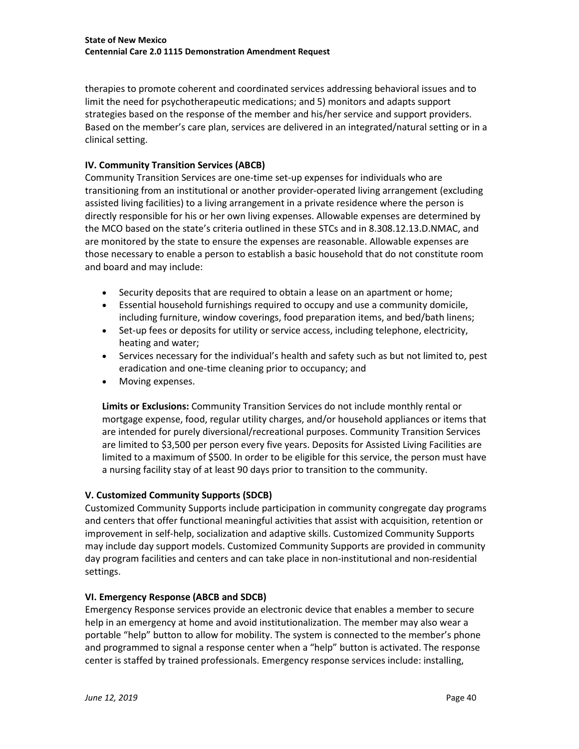therapies to promote coherent and coordinated services addressing behavioral issues and to limit the need for psychotherapeutic medications; and 5) monitors and adapts support strategies based on the response of the member and his/her service and support providers. Based on the member's care plan, services are delivered in an integrated/natural setting or in a clinical setting.

### **IV. Community Transition Services (ABCB)**

Community Transition Services are one-time set-up expenses for individuals who are transitioning from an institutional or another provider-operated living arrangement (excluding assisted living facilities) to a living arrangement in a private residence where the person is directly responsible for his or her own living expenses. Allowable expenses are determined by the MCO based on the state's criteria outlined in these STCs and in 8.308.12.13.D.NMAC, and are monitored by the state to ensure the expenses are reasonable. Allowable expenses are those necessary to enable a person to establish a basic household that do not constitute room and board and may include:

- Security deposits that are required to obtain a lease on an apartment or home;
- Essential household furnishings required to occupy and use a community domicile, including furniture, window coverings, food preparation items, and bed/bath linens;
- Set-up fees or deposits for utility or service access, including telephone, electricity, heating and water;
- Services necessary for the individual's health and safety such as but not limited to, pest eradication and one-time cleaning prior to occupancy; and
- Moving expenses.

**Limits or Exclusions:** Community Transition Services do not include monthly rental or mortgage expense, food, regular utility charges, and/or household appliances or items that are intended for purely diversional/recreational purposes. Community Transition Services are limited to \$3,500 per person every five years. Deposits for Assisted Living Facilities are limited to a maximum of \$500. In order to be eligible for this service, the person must have a nursing facility stay of at least 90 days prior to transition to the community.

### **V. Customized Community Supports (SDCB)**

Customized Community Supports include participation in community congregate day programs and centers that offer functional meaningful activities that assist with acquisition, retention or improvement in self-help, socialization and adaptive skills. Customized Community Supports may include day support models. Customized Community Supports are provided in community day program facilities and centers and can take place in non-institutional and non-residential settings.

### **VI. Emergency Response (ABCB and SDCB)**

Emergency Response services provide an electronic device that enables a member to secure help in an emergency at home and avoid institutionalization. The member may also wear a portable "help" button to allow for mobility. The system is connected to the member's phone and programmed to signal a response center when a "help" button is activated. The response center is staffed by trained professionals. Emergency response services include: installing,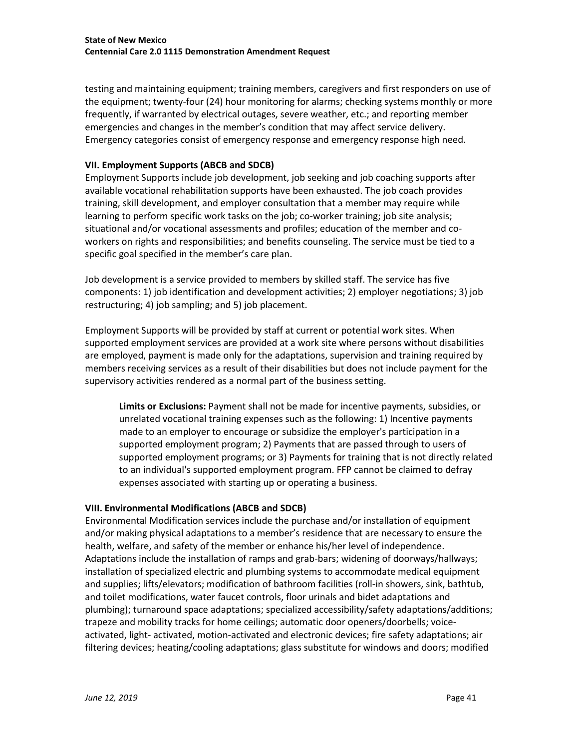testing and maintaining equipment; training members, caregivers and first responders on use of the equipment; twenty-four (24) hour monitoring for alarms; checking systems monthly or more frequently, if warranted by electrical outages, severe weather, etc.; and reporting member emergencies and changes in the member's condition that may affect service delivery. Emergency categories consist of emergency response and emergency response high need.

### **VII. Employment Supports (ABCB and SDCB)**

Employment Supports include job development, job seeking and job coaching supports after available vocational rehabilitation supports have been exhausted. The job coach provides training, skill development, and employer consultation that a member may require while learning to perform specific work tasks on the job; co-worker training; job site analysis; situational and/or vocational assessments and profiles; education of the member and coworkers on rights and responsibilities; and benefits counseling. The service must be tied to a specific goal specified in the member's care plan.

Job development is a service provided to members by skilled staff. The service has five components: 1) job identification and development activities; 2) employer negotiations; 3) job restructuring; 4) job sampling; and 5) job placement.

Employment Supports will be provided by staff at current or potential work sites. When supported employment services are provided at a work site where persons without disabilities are employed, payment is made only for the adaptations, supervision and training required by members receiving services as a result of their disabilities but does not include payment for the supervisory activities rendered as a normal part of the business setting.

**Limits or Exclusions:** Payment shall not be made for incentive payments, subsidies, or unrelated vocational training expenses such as the following: 1) Incentive payments made to an employer to encourage or subsidize the employer's participation in a supported employment program; 2) Payments that are passed through to users of supported employment programs; or 3) Payments for training that is not directly related to an individual's supported employment program. FFP cannot be claimed to defray expenses associated with starting up or operating a business.

### **VIII. Environmental Modifications (ABCB and SDCB)**

Environmental Modification services include the purchase and/or installation of equipment and/or making physical adaptations to a member's residence that are necessary to ensure the health, welfare, and safety of the member or enhance his/her level of independence. Adaptations include the installation of ramps and grab-bars; widening of doorways/hallways; installation of specialized electric and plumbing systems to accommodate medical equipment and supplies; lifts/elevators; modification of bathroom facilities (roll-in showers, sink, bathtub, and toilet modifications, water faucet controls, floor urinals and bidet adaptations and plumbing); turnaround space adaptations; specialized accessibility/safety adaptations/additions; trapeze and mobility tracks for home ceilings; automatic door openers/doorbells; voiceactivated, light- activated, motion-activated and electronic devices; fire safety adaptations; air filtering devices; heating/cooling adaptations; glass substitute for windows and doors; modified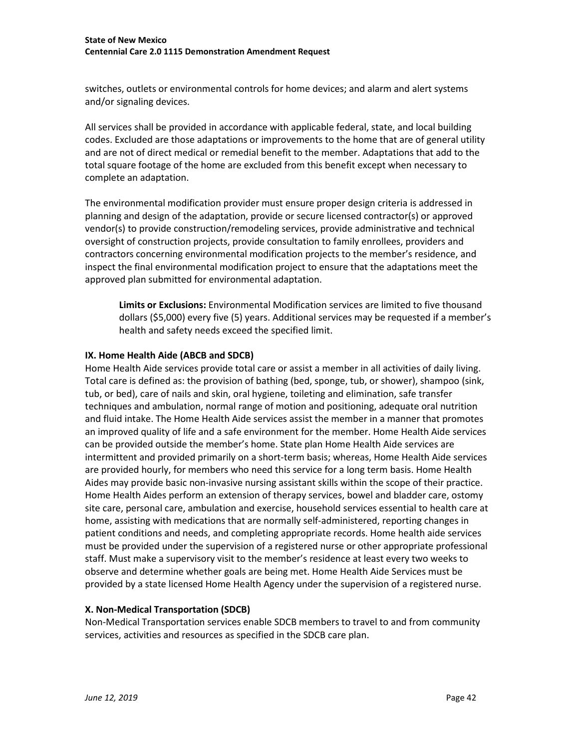switches, outlets or environmental controls for home devices; and alarm and alert systems and/or signaling devices.

All services shall be provided in accordance with applicable federal, state, and local building codes. Excluded are those adaptations or improvements to the home that are of general utility and are not of direct medical or remedial benefit to the member. Adaptations that add to the total square footage of the home are excluded from this benefit except when necessary to complete an adaptation.

The environmental modification provider must ensure proper design criteria is addressed in planning and design of the adaptation, provide or secure licensed contractor(s) or approved vendor(s) to provide construction/remodeling services, provide administrative and technical oversight of construction projects, provide consultation to family enrollees, providers and contractors concerning environmental modification projects to the member's residence, and inspect the final environmental modification project to ensure that the adaptations meet the approved plan submitted for environmental adaptation.

**Limits or Exclusions:** Environmental Modification services are limited to five thousand dollars (\$5,000) every five (5) years. Additional services may be requested if a member's health and safety needs exceed the specified limit.

### **IX. Home Health Aide (ABCB and SDCB)**

Home Health Aide services provide total care or assist a member in all activities of daily living. Total care is defined as: the provision of bathing (bed, sponge, tub, or shower), shampoo (sink, tub, or bed), care of nails and skin, oral hygiene, toileting and elimination, safe transfer techniques and ambulation, normal range of motion and positioning, adequate oral nutrition and fluid intake. The Home Health Aide services assist the member in a manner that promotes an improved quality of life and a safe environment for the member. Home Health Aide services can be provided outside the member's home. State plan Home Health Aide services are intermittent and provided primarily on a short-term basis; whereas, Home Health Aide services are provided hourly, for members who need this service for a long term basis. Home Health Aides may provide basic non-invasive nursing assistant skills within the scope of their practice. Home Health Aides perform an extension of therapy services, bowel and bladder care, ostomy site care, personal care, ambulation and exercise, household services essential to health care at home, assisting with medications that are normally self-administered, reporting changes in patient conditions and needs, and completing appropriate records. Home health aide services must be provided under the supervision of a registered nurse or other appropriate professional staff. Must make a supervisory visit to the member's residence at least every two weeks to observe and determine whether goals are being met. Home Health Aide Services must be provided by a state licensed Home Health Agency under the supervision of a registered nurse.

### **X. Non-Medical Transportation (SDCB)**

Non-Medical Transportation services enable SDCB members to travel to and from community services, activities and resources as specified in the SDCB care plan.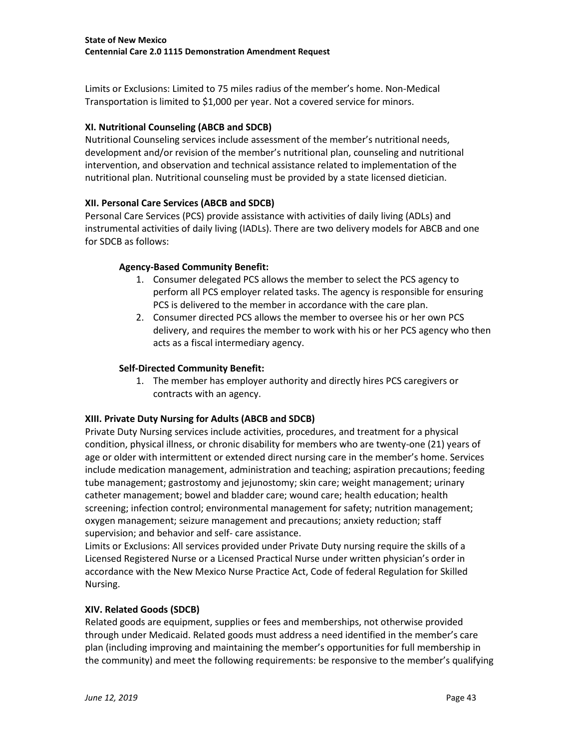Limits or Exclusions: Limited to 75 miles radius of the member's home. Non-Medical Transportation is limited to \$1,000 per year. Not a covered service for minors.

## **XI. Nutritional Counseling (ABCB and SDCB)**

Nutritional Counseling services include assessment of the member's nutritional needs, development and/or revision of the member's nutritional plan, counseling and nutritional intervention, and observation and technical assistance related to implementation of the nutritional plan. Nutritional counseling must be provided by a state licensed dietician.

## **XII. Personal Care Services (ABCB and SDCB)**

Personal Care Services (PCS) provide assistance with activities of daily living (ADLs) and instrumental activities of daily living (IADLs). There are two delivery models for ABCB and one for SDCB as follows:

### **Agency-Based Community Benefit:**

- 1. Consumer delegated PCS allows the member to select the PCS agency to perform all PCS employer related tasks. The agency is responsible for ensuring PCS is delivered to the member in accordance with the care plan.
- 2. Consumer directed PCS allows the member to oversee his or her own PCS delivery, and requires the member to work with his or her PCS agency who then acts as a fiscal intermediary agency.

### **Self-Directed Community Benefit:**

1. The member has employer authority and directly hires PCS caregivers or contracts with an agency.

### **XIII. Private Duty Nursing for Adults (ABCB and SDCB)**

Private Duty Nursing services include activities, procedures, and treatment for a physical condition, physical illness, or chronic disability for members who are twenty-one (21) years of age or older with intermittent or extended direct nursing care in the member's home. Services include medication management, administration and teaching; aspiration precautions; feeding tube management; gastrostomy and jejunostomy; skin care; weight management; urinary catheter management; bowel and bladder care; wound care; health education; health screening; infection control; environmental management for safety; nutrition management; oxygen management; seizure management and precautions; anxiety reduction; staff supervision; and behavior and self- care assistance.

Limits or Exclusions: All services provided under Private Duty nursing require the skills of a Licensed Registered Nurse or a Licensed Practical Nurse under written physician's order in accordance with the New Mexico Nurse Practice Act, Code of federal Regulation for Skilled Nursing.

### **XIV. Related Goods (SDCB)**

Related goods are equipment, supplies or fees and memberships, not otherwise provided through under Medicaid. Related goods must address a need identified in the member's care plan (including improving and maintaining the member's opportunities for full membership in the community) and meet the following requirements: be responsive to the member's qualifying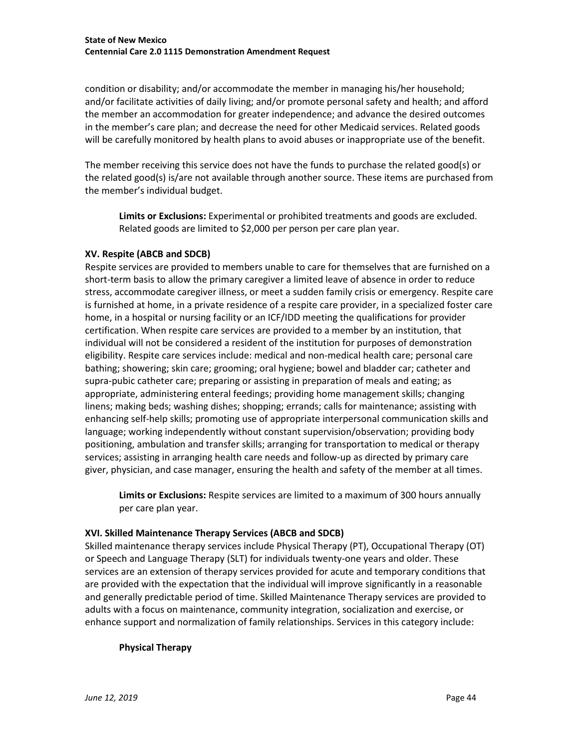condition or disability; and/or accommodate the member in managing his/her household; and/or facilitate activities of daily living; and/or promote personal safety and health; and afford the member an accommodation for greater independence; and advance the desired outcomes in the member's care plan; and decrease the need for other Medicaid services. Related goods will be carefully monitored by health plans to avoid abuses or inappropriate use of the benefit.

The member receiving this service does not have the funds to purchase the related good(s) or the related good(s) is/are not available through another source. These items are purchased from the member's individual budget.

**Limits or Exclusions:** Experimental or prohibited treatments and goods are excluded. Related goods are limited to \$2,000 per person per care plan year.

### **XV. Respite (ABCB and SDCB)**

Respite services are provided to members unable to care for themselves that are furnished on a short-term basis to allow the primary caregiver a limited leave of absence in order to reduce stress, accommodate caregiver illness, or meet a sudden family crisis or emergency. Respite care is furnished at home, in a private residence of a respite care provider, in a specialized foster care home, in a hospital or nursing facility or an ICF/IDD meeting the qualifications for provider certification. When respite care services are provided to a member by an institution, that individual will not be considered a resident of the institution for purposes of demonstration eligibility. Respite care services include: medical and non-medical health care; personal care bathing; showering; skin care; grooming; oral hygiene; bowel and bladder car; catheter and supra-pubic catheter care; preparing or assisting in preparation of meals and eating; as appropriate, administering enteral feedings; providing home management skills; changing linens; making beds; washing dishes; shopping; errands; calls for maintenance; assisting with enhancing self-help skills; promoting use of appropriate interpersonal communication skills and language; working independently without constant supervision/observation; providing body positioning, ambulation and transfer skills; arranging for transportation to medical or therapy services; assisting in arranging health care needs and follow-up as directed by primary care giver, physician, and case manager, ensuring the health and safety of the member at all times.

**Limits or Exclusions:** Respite services are limited to a maximum of 300 hours annually per care plan year.

### **XVI. Skilled Maintenance Therapy Services (ABCB and SDCB)**

Skilled maintenance therapy services include Physical Therapy (PT), Occupational Therapy (OT) or Speech and Language Therapy (SLT) for individuals twenty-one years and older. These services are an extension of therapy services provided for acute and temporary conditions that are provided with the expectation that the individual will improve significantly in a reasonable and generally predictable period of time. Skilled Maintenance Therapy services are provided to adults with a focus on maintenance, community integration, socialization and exercise, or enhance support and normalization of family relationships. Services in this category include:

### **Physical Therapy**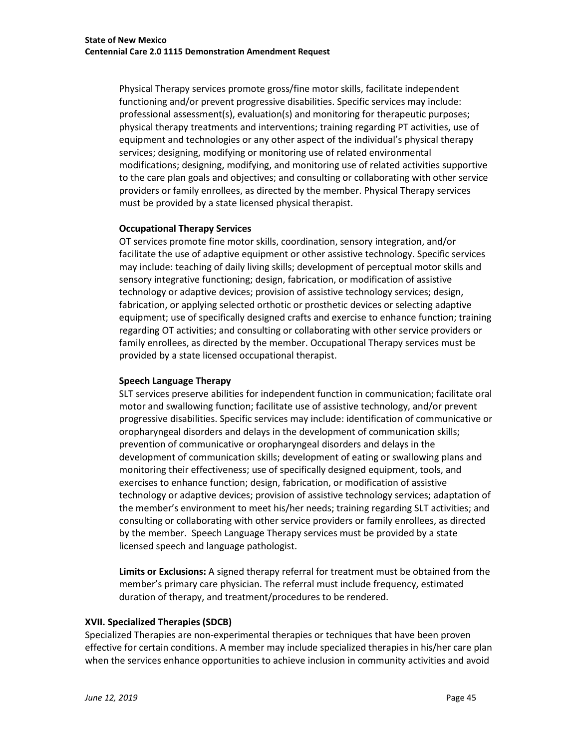Physical Therapy services promote gross/fine motor skills, facilitate independent functioning and/or prevent progressive disabilities. Specific services may include: professional assessment(s), evaluation(s) and monitoring for therapeutic purposes; physical therapy treatments and interventions; training regarding PT activities, use of equipment and technologies or any other aspect of the individual's physical therapy services; designing, modifying or monitoring use of related environmental modifications; designing, modifying, and monitoring use of related activities supportive to the care plan goals and objectives; and consulting or collaborating with other service providers or family enrollees, as directed by the member. Physical Therapy services must be provided by a state licensed physical therapist.

### **Occupational Therapy Services**

OT services promote fine motor skills, coordination, sensory integration, and/or facilitate the use of adaptive equipment or other assistive technology. Specific services may include: teaching of daily living skills; development of perceptual motor skills and sensory integrative functioning; design, fabrication, or modification of assistive technology or adaptive devices; provision of assistive technology services; design, fabrication, or applying selected orthotic or prosthetic devices or selecting adaptive equipment; use of specifically designed crafts and exercise to enhance function; training regarding OT activities; and consulting or collaborating with other service providers or family enrollees, as directed by the member. Occupational Therapy services must be provided by a state licensed occupational therapist.

#### **Speech Language Therapy**

SLT services preserve abilities for independent function in communication; facilitate oral motor and swallowing function; facilitate use of assistive technology, and/or prevent progressive disabilities. Specific services may include: identification of communicative or oropharyngeal disorders and delays in the development of communication skills; prevention of communicative or oropharyngeal disorders and delays in the development of communication skills; development of eating or swallowing plans and monitoring their effectiveness; use of specifically designed equipment, tools, and exercises to enhance function; design, fabrication, or modification of assistive technology or adaptive devices; provision of assistive technology services; adaptation of the member's environment to meet his/her needs; training regarding SLT activities; and consulting or collaborating with other service providers or family enrollees, as directed by the member. Speech Language Therapy services must be provided by a state licensed speech and language pathologist.

**Limits or Exclusions:** A signed therapy referral for treatment must be obtained from the member's primary care physician. The referral must include frequency, estimated duration of therapy, and treatment/procedures to be rendered.

#### **XVII. Specialized Therapies (SDCB)**

Specialized Therapies are non-experimental therapies or techniques that have been proven effective for certain conditions. A member may include specialized therapies in his/her care plan when the services enhance opportunities to achieve inclusion in community activities and avoid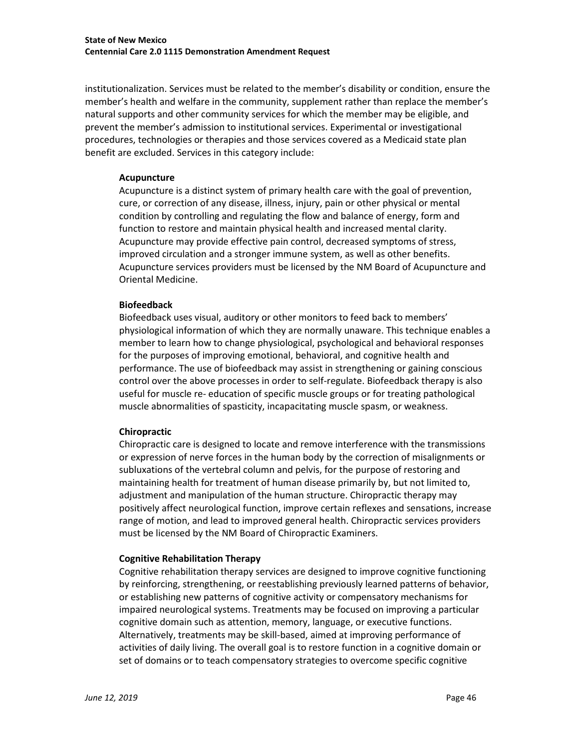institutionalization. Services must be related to the member's disability or condition, ensure the member's health and welfare in the community, supplement rather than replace the member's natural supports and other community services for which the member may be eligible, and prevent the member's admission to institutional services. Experimental or investigational procedures, technologies or therapies and those services covered as a Medicaid state plan benefit are excluded. Services in this category include:

#### **Acupuncture**

Acupuncture is a distinct system of primary health care with the goal of prevention, cure, or correction of any disease, illness, injury, pain or other physical or mental condition by controlling and regulating the flow and balance of energy, form and function to restore and maintain physical health and increased mental clarity. Acupuncture may provide effective pain control, decreased symptoms of stress, improved circulation and a stronger immune system, as well as other benefits. Acupuncture services providers must be licensed by the NM Board of Acupuncture and Oriental Medicine.

#### **Biofeedback**

Biofeedback uses visual, auditory or other monitors to feed back to members' physiological information of which they are normally unaware. This technique enables a member to learn how to change physiological, psychological and behavioral responses for the purposes of improving emotional, behavioral, and cognitive health and performance. The use of biofeedback may assist in strengthening or gaining conscious control over the above processes in order to self-regulate. Biofeedback therapy is also useful for muscle re- education of specific muscle groups or for treating pathological muscle abnormalities of spasticity, incapacitating muscle spasm, or weakness.

#### **Chiropractic**

Chiropractic care is designed to locate and remove interference with the transmissions or expression of nerve forces in the human body by the correction of misalignments or subluxations of the vertebral column and pelvis, for the purpose of restoring and maintaining health for treatment of human disease primarily by, but not limited to, adjustment and manipulation of the human structure. Chiropractic therapy may positively affect neurological function, improve certain reflexes and sensations, increase range of motion, and lead to improved general health. Chiropractic services providers must be licensed by the NM Board of Chiropractic Examiners.

#### **Cognitive Rehabilitation Therapy**

Cognitive rehabilitation therapy services are designed to improve cognitive functioning by reinforcing, strengthening, or reestablishing previously learned patterns of behavior, or establishing new patterns of cognitive activity or compensatory mechanisms for impaired neurological systems. Treatments may be focused on improving a particular cognitive domain such as attention, memory, language, or executive functions. Alternatively, treatments may be skill-based, aimed at improving performance of activities of daily living. The overall goal is to restore function in a cognitive domain or set of domains or to teach compensatory strategies to overcome specific cognitive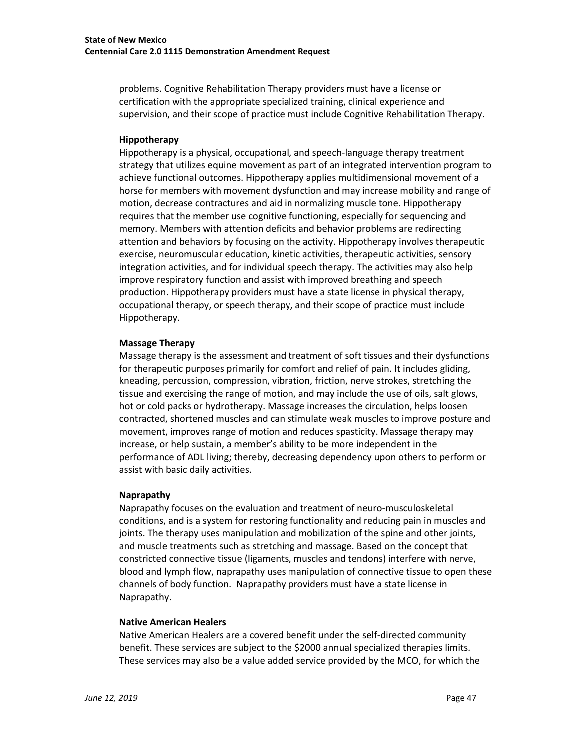problems. Cognitive Rehabilitation Therapy providers must have a license or certification with the appropriate specialized training, clinical experience and supervision, and their scope of practice must include Cognitive Rehabilitation Therapy.

#### **Hippotherapy**

Hippotherapy is a physical, occupational, and speech-language therapy treatment strategy that utilizes equine movement as part of an integrated intervention program to achieve functional outcomes. Hippotherapy applies multidimensional movement of a horse for members with movement dysfunction and may increase mobility and range of motion, decrease contractures and aid in normalizing muscle tone. Hippotherapy requires that the member use cognitive functioning, especially for sequencing and memory. Members with attention deficits and behavior problems are redirecting attention and behaviors by focusing on the activity. Hippotherapy involves therapeutic exercise, neuromuscular education, kinetic activities, therapeutic activities, sensory integration activities, and for individual speech therapy. The activities may also help improve respiratory function and assist with improved breathing and speech production. Hippotherapy providers must have a state license in physical therapy, occupational therapy, or speech therapy, and their scope of practice must include Hippotherapy.

#### **Massage Therapy**

Massage therapy is the assessment and treatment of soft tissues and their dysfunctions for therapeutic purposes primarily for comfort and relief of pain. It includes gliding, kneading, percussion, compression, vibration, friction, nerve strokes, stretching the tissue and exercising the range of motion, and may include the use of oils, salt glows, hot or cold packs or hydrotherapy. Massage increases the circulation, helps loosen contracted, shortened muscles and can stimulate weak muscles to improve posture and movement, improves range of motion and reduces spasticity. Massage therapy may increase, or help sustain, a member's ability to be more independent in the performance of ADL living; thereby, decreasing dependency upon others to perform or assist with basic daily activities.

#### **Naprapathy**

Naprapathy focuses on the evaluation and treatment of neuro-musculoskeletal conditions, and is a system for restoring functionality and reducing pain in muscles and joints. The therapy uses manipulation and mobilization of the spine and other joints, and muscle treatments such as stretching and massage. Based on the concept that constricted connective tissue (ligaments, muscles and tendons) interfere with nerve, blood and lymph flow, naprapathy uses manipulation of connective tissue to open these channels of body function. Naprapathy providers must have a state license in Naprapathy.

### **Native American Healers**

Native American Healers are a covered benefit under the self-directed community benefit. These services are subject to the \$2000 annual specialized therapies limits. These services may also be a value added service provided by the MCO, for which the